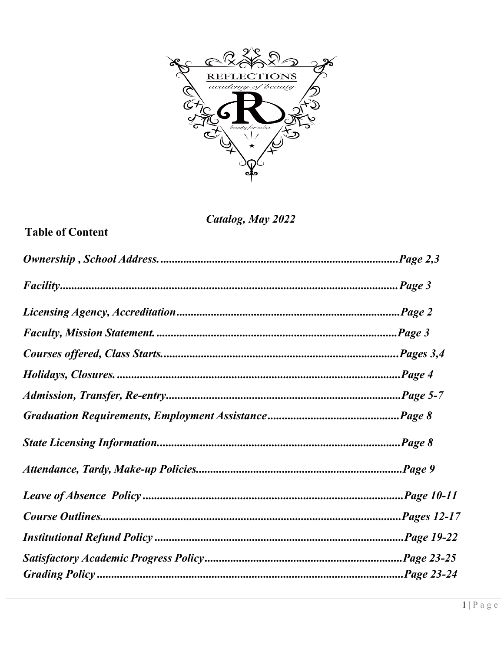

Catalog, May 2022

# **Table of Content**

| Page |
|------|
|      |
|      |
|      |
|      |
|      |
|      |
|      |
|      |
|      |
|      |
|      |
|      |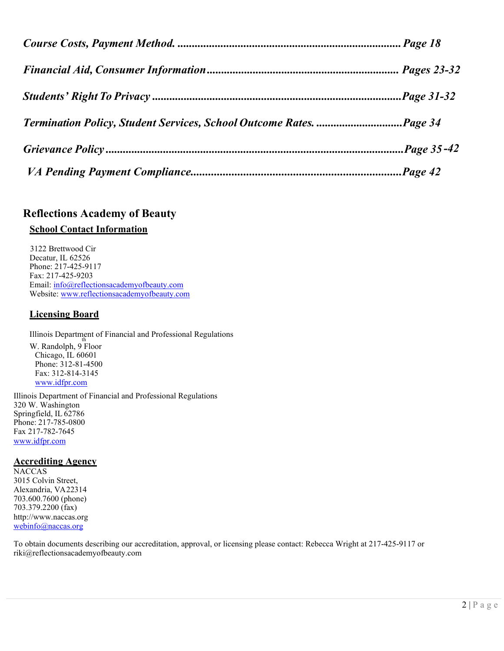# **Reflections Academy of Beauty**

# **School Contact Information**

 3122 Brettwood Cir Decatur, IL 62526 Phone: 217-425-9117 Fax: 217-425-9203 Email: [info@reflectionsacademyofbeauty.com](mailto:info@reflectionsacademyofbeauty.com) Website: [www.reflectionsacademyofbeauty.com](http://www.reflectionsacademyofbeauty.com/)

# **Licensing Board**

Illinois Department of Financial and Professional Regulations W. Randolph, 9 Floor Chicago, IL 60601 Phone: 312-81-4500 Fax: 312-814-3145 [www.idfpr.com](http://www.idfpr.com/)

Illinois Department of Financial and Professional Regulations 320 W. Washington Springfield, IL 62786 Phone: 217-785-0800 Fax 217-782-7645 [www.idfpr.com](http://www.idfpr.com/)

# **Accrediting Agency**

**NACCAS** 3015 Colvin Street, Alexandria, VA22314 703.600.7600 (phone) 703.379.2200 (fax) [http://www.naccas.org](http://www.naccas.org/) [webinfo@naccas.org](mailto:webinfo@naccas.org)

To obtain documents describing our accreditation, approval, or licensing please contact: Rebecca Wright at 217-425-9117 or [riki@reflectionsacademyofbeauty.com](mailto:riki@reflectionsacademyofbeauty.com)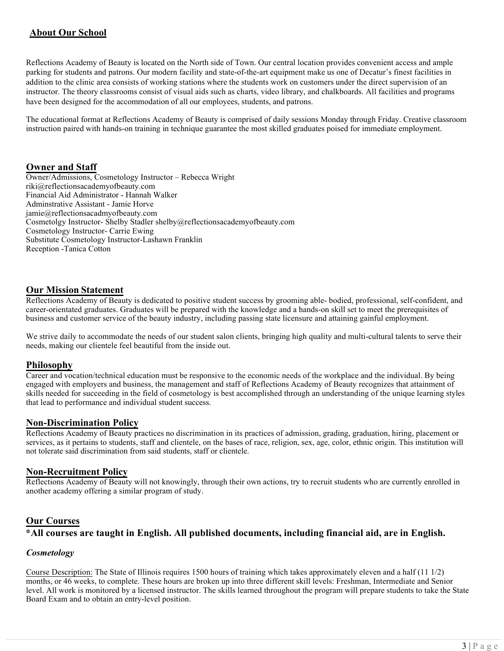# **About Our School**

Reflections Academy of Beauty is located on the North side of Town. Our central location provides convenient access and ample parking for students and patrons. Our modern facility and state-of-the-art equipment make us one of Decatur's finest facilities in addition to the clinic area consists of working stations where the students work on customers under the direct supervision of an instructor. The theory classrooms consist of visual aids such as charts, video library, and chalkboards. All facilities and programs have been designed for the accommodation of all our employees, students, and patrons.

The educational format at Reflections Academy of Beauty is comprised of daily sessions Monday through Friday. Creative classroom instruction paired with hands-on training in technique guarantee the most skilled graduates poised for immediate employment.

## **Owner and Staff**

Owner/Admissions, Cosmetology Instructor – Rebecca Wright [riki@reflectionsacademyofbeauty.com](mailto:riki@reflectionsacademyofbeauty.com)  Financial Aid Administrator - Hannah Walker [Adminstrative Assistant - Jamie Horve](mailto:lasonya@reflectionsacademyofbeauty.com)  jamie@reflectionsacadmyofbeauty.com [Cosmetolgy Instructor- Shelby Stadler](mailto:jamie@reflectionsacadmyofbeauty.com) [shelby@reflectionsacademyofbeauty.com](mailto:shelby@reflectionsacademyofbeauty.com) Cosmetology Instructor- Carrie Ewing Substitute Cosmetology Instructor-Lashawn Franklin Reception -Tanica Cotton

## **Our Mission Statement**

Reflections Academy of Beauty is dedicated to positive student success by grooming able- bodied, professional, self-confident, and career-orientated graduates. Graduates will be prepared with the knowledge and a hands-on skill set to meet the prerequisites of business and customer service of the beauty industry, including passing state licensure and attaining gainful employment.

We strive daily to accommodate the needs of our student salon clients, bringing high quality and multi-cultural talents to serve their needs, making our clientele feel beautiful from the inside out.

## **Philosophy**

Career and vocation/technical education must be responsive to the economic needs of the workplace and the individual. By being engaged with employers and business, the management and staff of Reflections Academy of Beauty recognizes that attainment of skills needed for succeeding in the field of cosmetology is best accomplished through an understanding of the unique learning styles that lead to performance and individual student success.

# **Non-Discrimination Policy**

Reflections Academy of Beauty practices no discrimination in its practices of admission, grading, graduation, hiring, placement or services, as it pertains to students, staff and clientele, on the bases of race, religion, sex, age, color, ethnic origin. This institution will not tolerate said discrimination from said students, staff or clientele.

## **Non-Recruitment Policy**

Reflections Academy of Beauty will not knowingly, through their own actions, try to recruit students who are currently enrolled in another academy offering a similar program of study.

## **Our Courses**

# **\*All courses are taught in English. All published documents, including financial aid, are in English.**

## *Cosmetology*

Course Description: The State of Illinois requires 1500 hours of training which takes approximately eleven and a half (11 1/2) months, or 46 weeks, to complete. These hours are broken up into three different skill levels: Freshman, Intermediate and Senior level. All work is monitored by a licensed instructor. The skills learned throughout the program will prepare students to take the State Board Exam and to obtain an entry-level position.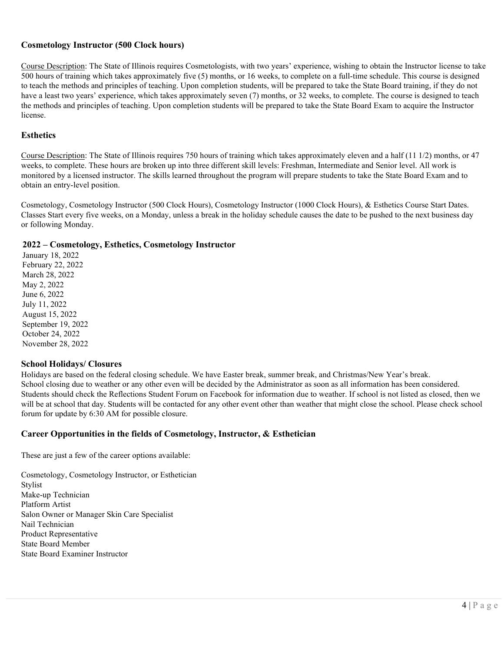## **Cosmetology Instructor (500 Clock hours)**

Course Description: The State of Illinois requires Cosmetologists, with two years' experience, wishing to obtain the Instructor license to take 500 hours of training which takes approximately five (5) months, or 16 weeks, to complete on a full-time schedule. This course is designed to teach the methods and principles of teaching. Upon completion students, will be prepared to take the State Board training, if they do not have a least two years' experience, which takes approximately seven (7) months, or 32 weeks, to complete. The course is designed to teach the methods and principles of teaching. Upon completion students will be prepared to take the State Board Exam to acquire the Instructor license.

## **Esthetics**

Course Description: The State of Illinois requires 750 hours of training which takes approximately eleven and a half (11 1/2) months, or 47 weeks, to complete. These hours are broken up into three different skill levels: Freshman, Intermediate and Senior level. All work is monitored by a licensed instructor. The skills learned throughout the program will prepare students to take the State Board Exam and to obtain an entry-level position.

Cosmetology, Cosmetology Instructor (500 Clock Hours), Cosmetology Instructor (1000 Clock Hours), & Esthetics Course Start Dates. Classes Start every five weeks, on a Monday, unless a break in the holiday schedule causes the date to be pushed to the next business day or following Monday.

## **2022 – Cosmetology, Esthetics, Cosmetology Instructor**

January 18, 2022 February 22, 2022 March 28, 2022 May 2, 2022 June 6, 2022 July 11, 2022 August 15, 2022 September 19, 2022 October 24, 2022 November 28, 2022

## **School Holidays/ Closures**

Holidays are based on the federal closing schedule. We have Easter break, summer break, and Christmas/New Year's break. School closing due to weather or any other even will be decided by the Administrator as soon as all information has been considered. Students should check the Reflections Student Forum on Facebook for information due to weather. If school is not listed as closed, then we will be at school that day. Students will be contacted for any other event other than weather that might close the school. Please check school forum for update by 6:30 AM for possible closure.

## **Career Opportunities in the fields of Cosmetology, Instructor, & Esthetician**

These are just a few of the career options available:

Cosmetology, Cosmetology Instructor, or Esthetician Stylist Make-up Technician Platform Artist Salon Owner or Manager Skin Care Specialist Nail Technician Product Representative State Board Member State Board Examiner Instructor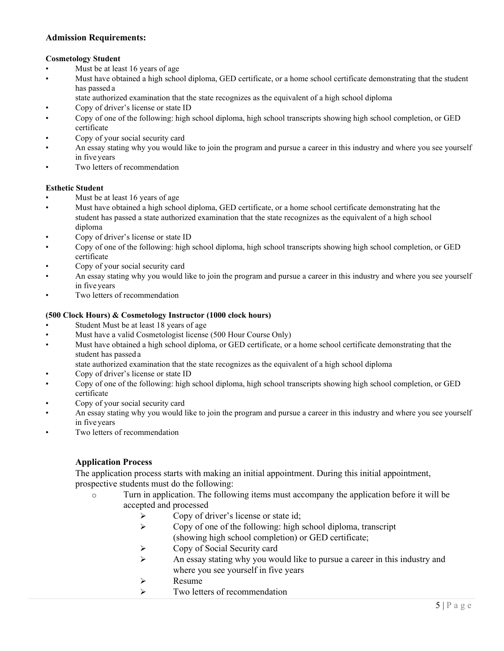## **Admission Requirements:**

## **Cosmetology Student**

- Must be at least 16 years of age
- Must have obtained a high school diploma, GED certificate, or a home school certificate demonstrating that the student has passed a
	- state authorized examination that the state recognizes as the equivalent of a high school diploma
- Copy of driver's license or state ID
- Copy of one of the following: high school diploma, high school transcripts showing high school completion, or GED certificate
- Copy of your social security card
- An essay stating why you would like to join the program and pursue a career in this industry and where you see yourself in five years
- Two letters of recommendation

#### **Esthetic Student**

- Must be at least 16 years of age
- Must have obtained a high school diploma, GED certificate, or a home school certificate demonstrating hat the student has passed a state authorized examination that the state recognizes as the equivalent of a high school diploma
- Copy of driver's license or state ID
- Copy of one of the following: high school diploma, high school transcripts showing high school completion, or GED certificate
- Copy of your social security card
- An essay stating why you would like to join the program and pursue a career in this industry and where you see yourself in five years
- Two letters of recommendation

#### **(500 Clock Hours) & Cosmetology Instructor (1000 clock hours)**

- Student Must be at least 18 years of age
- Must have a valid Cosmetologist license (500 Hour Course Only)
- Must have obtained a high school diploma, or GED certificate, or a home school certificate demonstrating that the student has passed a

state authorized examination that the state recognizes as the equivalent of a high school diploma

- Copy of driver's license or state ID
- Copy of one of the following: high school diploma, high school transcripts showing high school completion, or GED certificate
- Copy of your social security card
- An essay stating why you would like to join the program and pursue a career in this industry and where you see yourself in five years
- Two letters of recommendation

# **Application Process**

The application process starts with making an initial appointment. During this initial appointment, prospective students must do the following:

- o Turn in application. The following items must accompany the application before it will be accepted and processed
	- $\triangleright$  Copy of driver's license or state id;
	- $\triangleright$  Copy of one of the following: high school diploma, transcript (showing high school completion) or GED certificate;
	- $\triangleright$  Copy of Social Security card
	- $\triangleright$  An essay stating why you would like to pursue a career in this industry and where you see yourself in five years
	- $\triangleright$  Resume
	- $\triangleright$  Two letters of recommendation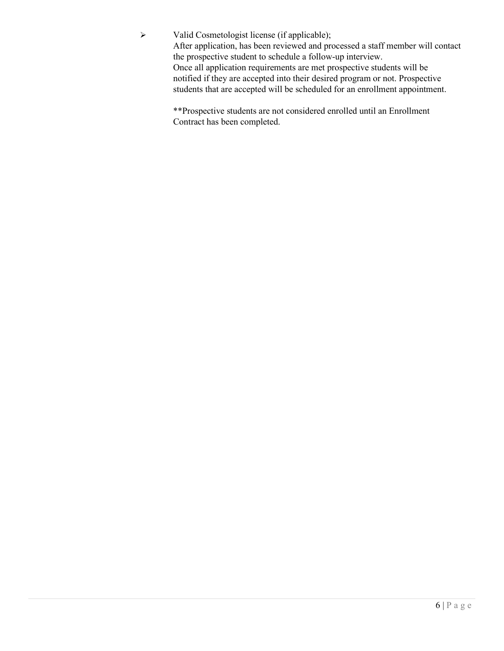Valid Cosmetologist license (if applicable); After application, has been reviewed and processed a staff member will contact the prospective student to schedule a follow-up interview. Once all application requirements are met prospective students will be notified if they are accepted into their desired program or not. Prospective students that are accepted will be scheduled for an enrollment appointment.

> \*\*Prospective students are not considered enrolled until an Enrollment Contract has been completed.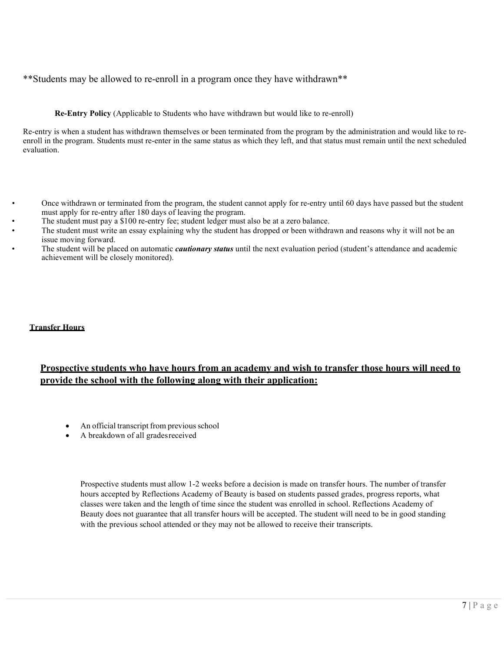\*\*Students may be allowed to re-enroll in a program once they have withdrawn\*\*

#### **Re-Entry Policy** (Applicable to Students who have withdrawn but would like to re-enroll)

Re-entry is when a student has withdrawn themselves or been terminated from the program by the administration and would like to reenroll in the program. Students must re-enter in the same status as which they left, and that status must remain until the next scheduled evaluation.

- Once withdrawn or terminated from the program, the student cannot apply for re-entry until 60 days have passed but the student must apply for re-entry after 180 days of leaving the program.
- The student must pay a \$100 re-entry fee; student ledger must also be at a zero balance.
- The student must write an essay explaining why the student has dropped or been withdrawn and reasons why it will not be an issue moving forward.
- The student will be placed on automatic *cautionary status* until the next evaluation period (student's attendance and academic achievement will be closely monitored).

## **Transfer Hours**

# **Prospective students who have hours from an academy and wish to transfer those hours will need to provide the school with the following along with their application:**

- An official transcript from previous school
- A breakdown of all gradesreceived

Prospective students must allow 1-2 weeks before a decision is made on transfer hours. The number of transfer hours accepted by Reflections Academy of Beauty is based on students passed grades, progress reports, what classes were taken and the length of time since the student was enrolled in school. Reflections Academy of Beauty does not guarantee that all transfer hours will be accepted. The student will need to be in good standing with the previous school attended or they may not be allowed to receive their transcripts.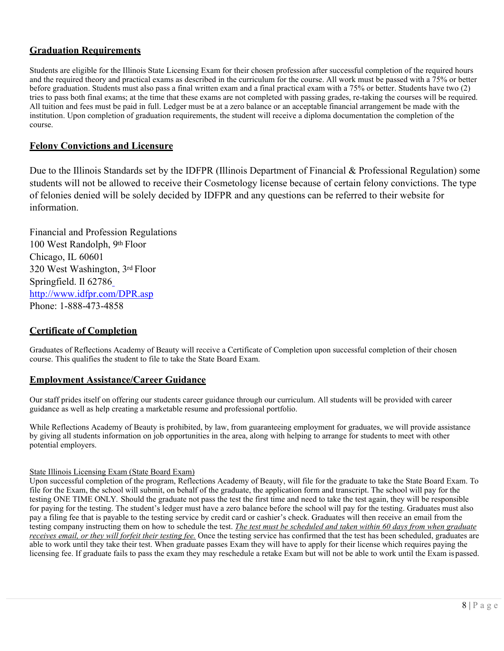# **Graduation Requirements**

Students are eligible for the Illinois State Licensing Exam for their chosen profession after successful completion of the required hours and the required theory and practical exams as described in the curriculum for the course. All work must be passed with a 75% or better before graduation. Students must also pass a final written exam and a final practical exam with a 75% or better. Students have two (2) tries to pass both final exams; at the time that these exams are not completed with passing grades, re-taking the courses will be required. All tuition and fees must be paid in full. Ledger must be at a zero balance or an acceptable financial arrangement be made with the institution. Upon completion of graduation requirements, the student will receive a diploma documentation the completion of the course.

# **Felony Convictions and Licensure**

Due to the Illinois Standards set by the IDFPR (Illinois Department of Financial & Professional Regulation) some students will not be allowed to receive their Cosmetology license because of certain felony convictions. The type of felonies denied will be solely decided by IDFPR and any questions can be referred to their website for information.

Financial and Profession Regulations 100 West Randolph, 9th Floor Chicago, IL 60601 320 West Washington, 3rd Floor Springfield. Il 62786 <http://www.idfpr.com/DPR.asp> Phone: 1-888-473-4858

# **Certificate of Completion**

Graduates of Reflections Academy of Beauty will receive a Certificate of Completion upon successful completion of their chosen course. This qualifies the student to file to take the State Board Exam.

## **Employment Assistance/Career Guidance**

Our staff prides itself on offering our students career guidance through our curriculum. All students will be provided with career guidance as well as help creating a marketable resume and professional portfolio.

While Reflections Academy of Beauty is prohibited, by law, from guaranteeing employment for graduates, we will provide assistance by giving all students information on job opportunities in the area, along with helping to arrange for students to meet with other potential employers.

#### State Illinois Licensing Exam (State Board Exam)

Upon successful completion of the program, Reflections Academy of Beauty, will file for the graduate to take the State Board Exam. To file for the Exam, the school will submit, on behalf of the graduate, the application form and transcript. The school will pay for the testing ONE TIME ONLY. Should the graduate not pass the test the first time and need to take the test again, they will be responsible for paying for the testing. The student's ledger must have a zero balance before the school will pay for the testing. Graduates must also pay a filing fee that is payable to the testing service by credit card or cashier's check. Graduates will then receive an email from the testing company instructing them on how to schedule the test. *The test must be scheduled and taken within 60 days from when graduate receives email, or they will forfeit their testing fee.* Once the testing service has confirmed that the test has been scheduled, graduates are able to work until they take their test. When graduate passes Exam they will have to apply for their license which requires paying the licensing fee. If graduate fails to pass the exam they may reschedule a retake Exam but will not be able to work until the Exam is passed.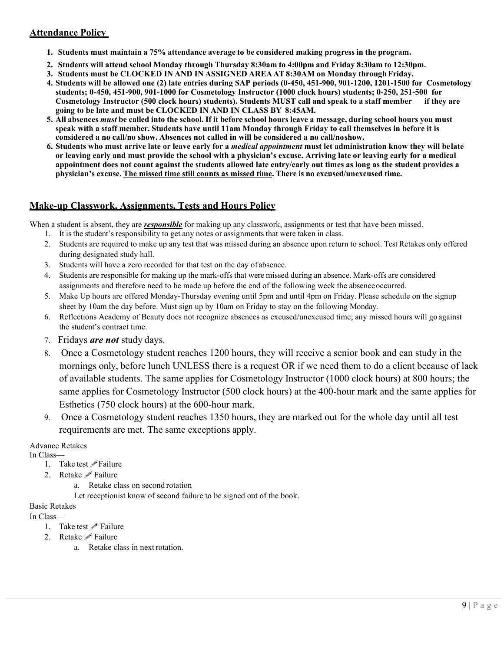# **Attendance Policy**

- **1. Students must maintain a 75% attendance average to be considered making progress in the program.**
- **2. Students will attend school Monday through Thursday 8:30am to 4:00pm and Friday 8:30am to 12:30pm.**
- **3. Students must be CLOCKED IN AND IN ASSIGNED AREA AT 8:30AM on Monday throughFriday.**
- **4. Students will be allowed one (2) late entries during SAP periods (0-450, 451-900, 901-1200, 1201-1500 for Cosmetology students; 0-450, 451-900, 901-1000 for Cosmetology Instructor (1000 clock hours) students; 0-250, 251-500 for Cosmetology Instructor (500 clock hours) students). Students MUST call and speak to a staff member if they are going to be late and must be CLOCKED IN AND IN CLASS BY 8:45AM.**
- 5. All absences *must* be called into the school. If it before school hours leave a message, during school hours you must **speak with a staff member. Students have until 11am Monday through Friday to call themselves in before it is considered a no call/no show. Absences not called in will be considered a no call/noshow.**
- **6. Students who must arrive late or leave early for a** *medical appointment* **must let administration know they will belate or leaving early and must provide the school with a physician's excuse. Arriving late or leaving early for a medical appointment does not count against the students allowed late entry/early out times as long as the student provides a physician's excuse. The missed time still counts as missed time. There is no excused/unexcused time.**

# **Make-up Classwork, Assignments, Tests and Hours Policy**

When a student is absent, they are *responsible* for making up any classwork, assignments or test that have been missed.

- 1. It is the student's responsibility to get any notes or assignments that were taken in class.
- 2. Students are required to make up any test that was missed during an absence upon return to school. Test Retakes only offered during designated study hall.
- 3. Students will have a zero recorded for that test on the day of absence.
- 4. Students are responsible for making up the mark-offs that were missed during an absence. Mark-offs are considered assignments and therefore need to be made up before the end of the following week the absenceoccurred.
- 5. Make Up hours are offered Monday-Thursday evening until 5pm and until 4pm on Friday. Please schedule on the signup sheet by 10am the day before. Must sign up by 10am on Friday to stay on the following Monday.
- 6. Reflections Academy of Beauty does not recognize absences as excused/unexcused time; any missed hours will go against the student's contract time.
- 7. Fridays *are not* study days.
- 8. Once a Cosmetology student reaches 1200 hours, they will receive a senior book and can study in the mornings only, before lunch UNLESS there is a request OR if we need them to do a client because of lack of available students. The same applies for Cosmetology Instructor (1000 clock hours) at 800 hours; the same applies for Cosmetology Instructor (500 clock hours) at the 400-hour mark and the same applies for Esthetics (750 clock hours) at the 600-hour mark.
- 9. Once a Cosmetology student reaches 1350 hours, they are marked out for the whole day until all test requirements are met. The same exceptions apply.

Advance Retakes

- In Class—
	- 1. Take test *Failure*
	- 2. Retake *P* Failure
		- a. Retake class on second rotation
		- Let receptionist know of second failure to be signed out of the book.

# Basic Retakes

In Class—

- 1. Take test  $\mathscr P$  Failure
- 2. Retake *P* Failure
	- a. Retake class in next rotation.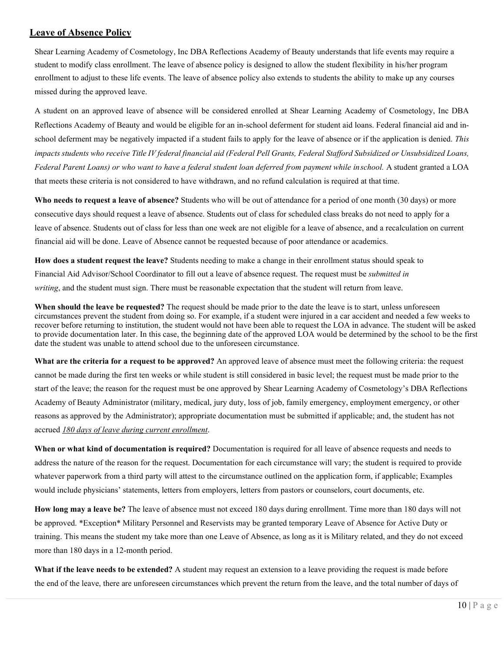## **Leave of Absence Policy**

Shear Learning Academy of Cosmetology, Inc DBA Reflections Academy of Beauty understands that life events may require a student to modify class enrollment. The leave of absence policy is designed to allow the student flexibility in his/her program enrollment to adjust to these life events. The leave of absence policy also extends to students the ability to make up any courses missed during the approved leave.

A student on an approved leave of absence will be considered enrolled at Shear Learning Academy of Cosmetology, Inc DBA Reflections Academy of Beauty and would be eligible for an in-school deferment for student aid loans. Federal financial aid and inschool deferment may be negatively impacted if a student fails to apply for the leave of absence or if the application is denied. *This*  impacts students who receive Title IV federal financial aid (Federal Pell Grants, Federal Stafford Subsidized or Unsubsidized Loans, Federal Parent Loans) or who want to have a federal student loan deferred from payment while inschool. A student granted a LOA that meets these criteria is not considered to have withdrawn, and no refund calculation is required at that time.

**Who needs to request a leave of absence?** Students who will be out of attendance for a period of one month (30 days) or more consecutive days should request a leave of absence. Students out of class for scheduled class breaks do not need to apply for a leave of absence. Students out of class for less than one week are not eligible for a leave of absence, and a recalculation on current financial aid will be done. Leave of Absence cannot be requested because of poor attendance or academics.

**How does a student request the leave?** Students needing to make a change in their enrollment status should speak to Financial Aid Advisor/School Coordinator to fill out a leave of absence request. The request must be *submitted in writing*, and the student must sign. There must be reasonable expectation that the student will return from leave.

**When should the leave be requested?** The request should be made prior to the date the leave is to start, unless unforeseen circumstances prevent the student from doing so. For example, if a student were injured in a car accident and needed a few weeks to recover before returning to institution, the student would not have been able to request the LOA in advance. The student will be asked to provide documentation later. In this case, the beginning date of the approved LOA would be determined by the school to be the first date the student was unable to attend school due to the unforeseen circumstance.

**What are the criteria for a request to be approved?** An approved leave of absence must meet the following criteria: the request cannot be made during the first ten weeks or while student is still considered in basic level; the request must be made prior to the start of the leave; the reason for the request must be one approved by Shear Learning Academy of Cosmetology's DBA Reflections Academy of Beauty Administrator (military, medical, jury duty, loss of job, family emergency, employment emergency, or other reasons as approved by the Administrator); appropriate documentation must be submitted if applicable; and, the student has not accrued *180 days of leave during current enrollment*.

**When or what kind of documentation is required?** Documentation is required for all leave of absence requests and needs to address the nature of the reason for the request. Documentation for each circumstance will vary; the student is required to provide whatever paperwork from a third party will attest to the circumstance outlined on the application form, if applicable; Examples would include physicians' statements, letters from employers, letters from pastors or counselors, court documents, etc.

**How long may a leave be?** The leave of absence must not exceed 180 days during enrollment. Time more than 180 days will not be approved. \*Exception\* Military Personnel and Reservists may be granted temporary Leave of Absence for Active Duty or training. This means the student my take more than one Leave of Absence, as long as it is Military related, and they do not exceed more than 180 days in a 12-month period.

**What if the leave needs to be extended?** A student may request an extension to a leave providing the request is made before the end of the leave, there are unforeseen circumstances which prevent the return from the leave, and the total number of days of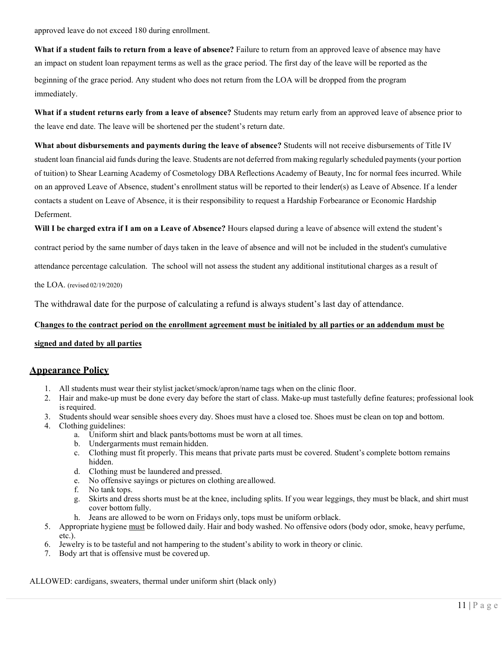approved leave do not exceed 180 during enrollment.

**What if a student fails to return from a leave of absence?** Failure to return from an approved leave of absence may have an impact on student loan repayment terms as well as the grace period. The first day of the leave will be reported as the beginning of the grace period. Any student who does not return from the LOA will be dropped from the program immediately.

**What if a student returns early from a leave of absence?** Students may return early from an approved leave of absence prior to the leave end date. The leave will be shortened per the student's return date.

**What about disbursements and payments during the leave of absence?** Students will not receive disbursements of Title IV student loan financial aid funds during the leave. Students are not deferred from making regularly scheduled payments(your portion of tuition) to Shear Learning Academy of Cosmetology DBA Reflections Academy of Beauty, Inc for normal fees incurred. While on an approved Leave of Absence, student's enrollment status will be reported to their lender(s) as Leave of Absence. If a lender contacts a student on Leave of Absence, it is their responsibility to request a Hardship Forbearance or Economic Hardship Deferment.

Will I be charged extra if I am on a Leave of Absence? Hours elapsed during a leave of absence will extend the student's

contract period by the same number of days taken in the leave of absence and will not be included in the student's cumulative

attendance percentage calculation. The school will not assess the student any additional institutional charges as a result of

the LOA. (revised 02/19/2020)

The withdrawal date for the purpose of calculating a refund is always student's last day of attendance.

### **Changes to the contract period on the enrollment agreement must be initialed by all parties or an addendum must be**

#### **signed and dated by all parties**

## **Appearance Policy**

- 1. All students must wear their stylist jacket/smock/apron/name tags when on the clinic floor.
- 2. Hair and make-up must be done every day before the start of class. Make-up must tastefully define features; professional look is required.
- 3. Students should wear sensible shoes every day. Shoes must have a closed toe. Shoes must be clean on top and bottom.
- 4. Clothing guidelines:
	- a. Uniform shirt and black pants/bottoms must be worn at all times.
	- b. Undergarments must remain hidden.
	- c. Clothing must fit properly. This means that private parts must be covered. Student's complete bottom remains hidden.
	- d. Clothing must be laundered and pressed.
	- e. No offensive sayings or pictures on clothing areallowed.
	- f. No tank tops.
	- g. Skirts and dress shorts must be at the knee, including splits. If you wear leggings, they must be black, and shirt must cover bottom fully.
	- h. Jeans are allowed to be worn on Fridays only, tops must be uniform orblack.
- 5. Appropriate hygiene must be followed daily. Hair and body washed. No offensive odors (body odor, smoke, heavy perfume, etc.).
- 6. Jewelry is to be tasteful and not hampering to the student's ability to work in theory or clinic.
- 7. Body art that is offensive must be covered up.

ALLOWED: cardigans, sweaters, thermal under uniform shirt (black only)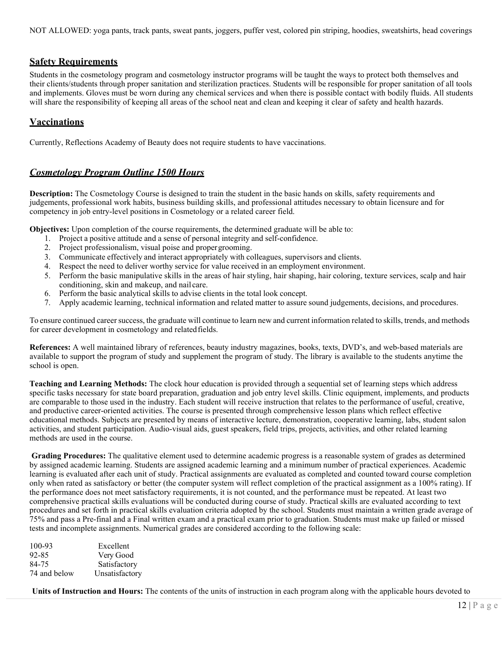NOT ALLOWED: yoga pants, track pants, sweat pants, joggers, puffer vest, colored pin striping, hoodies, sweatshirts, head coverings

## **Safety Requirements**

Students in the cosmetology program and cosmetology instructor programs will be taught the ways to protect both themselves and their clients/students through proper sanitation and sterilization practices. Students will be responsible for proper sanitation of all tools and implements. Gloves must be worn during any chemical services and when there is possible contact with bodily fluids. All students will share the responsibility of keeping all areas of the school neat and clean and keeping it clear of safety and health hazards.

# **Vaccinations**

Currently, Reflections Academy of Beauty does not require students to have vaccinations.

# *Cosmetology Program Outline 1500 Hours*

**Description:** The Cosmetology Course is designed to train the student in the basic hands on skills, safety requirements and judgements, professional work habits, business building skills, and professional attitudes necessary to obtain licensure and for competency in job entry-level positions in Cosmetology or a related career field.

**Objectives:** Upon completion of the course requirements, the determined graduate will be able to:

- 1. Project a positive attitude and a sense of personal integrity and self-confidence.
- 2. Project professionalism, visual poise and propergrooming.
- 3. Communicate effectively and interact appropriately with colleagues, supervisors and clients.
- 4. Respect the need to deliver worthy service for value received in an employment environment.
- 5. Perform the basic manipulative skills in the areas of hair styling, hair shaping, hair coloring, texture services, scalp and hair conditioning, skin and makeup, and nail care.
- 6. Perform the basic analytical skills to advise clients in the total look concept.
- 7. Apply academic learning, technical information and related matter to assure sound judgements, decisions, and procedures.

To ensure continued career success, the graduate will continue to learn new and current information related to skills, trends, and methods for career development in cosmetology and relatedfields.

**References:** A well maintained library of references, beauty industry magazines, books, texts, DVD's, and web-based materials are available to support the program of study and supplement the program of study. The library is available to the students anytime the school is open.

**Teaching and Learning Methods:** The clock hour education is provided through a sequential set of learning steps which address specific tasks necessary for state board preparation, graduation and job entry level skills. Clinic equipment, implements, and products are comparable to those used in the industry. Each student will receive instruction that relates to the performance of useful, creative, and productive career-oriented activities. The course is presented through comprehensive lesson plans which reflect effective educational methods. Subjects are presented by means of interactive lecture, demonstration, cooperative learning, labs, student salon activities, and student participation. Audio-visual aids, guest speakers, field trips, projects, activities, and other related learning methods are used in the course.

**Grading Procedures:** The qualitative element used to determine academic progress is a reasonable system of grades as determined by assigned academic learning. Students are assigned academic learning and a minimum number of practical experiences. Academic learning is evaluated after each unit of study. Practical assignments are evaluated as completed and counted toward course completion only when rated as satisfactory or better (the computer system will reflect completion of the practical assignment as a 100% rating). If the performance does not meet satisfactory requirements, it is not counted, and the performance must be repeated. At least two comprehensive practical skills evaluations will be conducted during course of study. Practical skills are evaluated according to text procedures and set forth in practical skills evaluation criteria adopted by the school. Students must maintain a written grade average of 75% and pass a Pre-final and a Final written exam and a practical exam prior to graduation. Students must make up failed or missed tests and incomplete assignments. Numerical grades are considered according to the following scale:

| 100-93       | Excellent      |
|--------------|----------------|
| 92-85        | Very Good      |
| 84-75        | Satisfactory   |
| 74 and below | Unsatisfactory |

**Units of Instruction and Hours:** The contents of the units of instruction in each program along with the applicable hours devoted to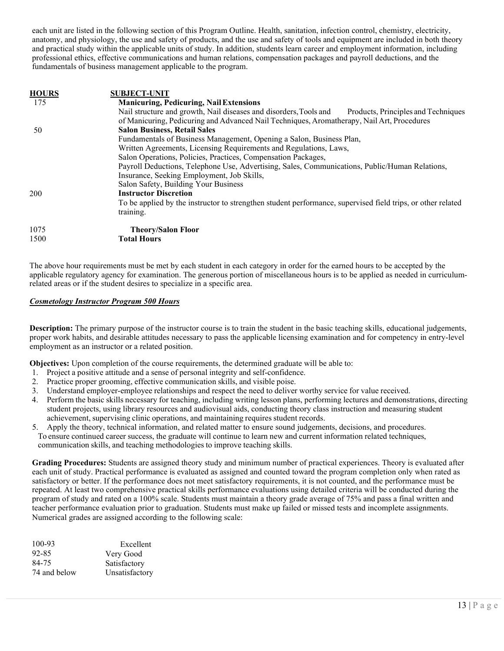each unit are listed in the following section of this Program Outline. Health, sanitation, infection control, chemistry, electricity, anatomy, and physiology, the use and safety of products, and the use and safety of tools and equipment are included in both theory and practical study within the applicable units of study. In addition, students learn career and employment information, including professional ethics, effective communications and human relations, compensation packages and payroll deductions, and the fundamentals of business management applicable to the program.

| <b>HOURS</b> | <b>SUBJECT-UNIT</b>                                                                                         |
|--------------|-------------------------------------------------------------------------------------------------------------|
| 175          | <b>Manicuring, Pedicuring, Nail Extensions</b>                                                              |
|              | Nail structure and growth, Nail diseases and disorders, Tools and<br>Products, Principles and Techniques    |
|              | of Manicuring, Pedicuring and Advanced Nail Techniques, Aromatherapy, Nail Art, Procedures                  |
| 50           | <b>Salon Business, Retail Sales</b>                                                                         |
|              | Fundamentals of Business Management, Opening a Salon, Business Plan,                                        |
|              | Written Agreements, Licensing Requirements and Regulations, Laws,                                           |
|              | Salon Operations, Policies, Practices, Compensation Packages,                                               |
|              | Payroll Deductions, Telephone Use, Advertising, Sales, Communications, Public/Human Relations,              |
|              | Insurance, Seeking Employment, Job Skills,                                                                  |
|              | Salon Safety, Building Your Business                                                                        |
| 200          | <b>Instructor Discretion</b>                                                                                |
|              | To be applied by the instructor to strengthen student performance, supervised field trips, or other related |
|              | training.                                                                                                   |
| 1075         | <b>Theory/Salon Floor</b>                                                                                   |
| 1500         | <b>Total Hours</b>                                                                                          |
|              |                                                                                                             |

The above hour requirements must be met by each student in each category in order for the earned hours to be accepted by the applicable regulatory agency for examination. The generous portion of miscellaneous hours is to be applied as needed in curriculumrelated areas or if the student desires to specialize in a specific area.

#### *Cosmetology Instructor Program 500 Hours*

**Description:** The primary purpose of the instructor course is to train the student in the basic teaching skills, educational judgements, proper work habits, and desirable attitudes necessary to pass the applicable licensing examination and for competency in entry-level employment as an instructor or a related position.

**Objectives:** Upon completion of the course requirements, the determined graduate will be able to:

- 1. Project a positive attitude and a sense of personal integrity and self-confidence.
- 2. Practice proper grooming, effective communication skills, and visible poise.
- 3. Understand employer-employee relationships and respect the need to deliver worthy service for value received.
- 4. Perform the basic skills necessary for teaching, including writing lesson plans, performing lectures and demonstrations, directing student projects, using library resources and audiovisual aids, conducting theory class instruction and measuring student achievement, supervising clinic operations, and maintaining requires student records.
- 5. Apply the theory, technical information, and related matter to ensure sound judgements, decisions, and procedures. To ensure continued career success, the graduate will continue to learn new and current information related techniques, communication skills, and teaching methodologies to improve teaching skills.

**Grading Procedures:** Students are assigned theory study and minimum number of practical experiences. Theory is evaluated after each unit of study. Practical performance is evaluated as assigned and counted toward the program completion only when rated as satisfactory or better. If the performance does not meet satisfactory requirements, it is not counted, and the performance must be repeated. At least two comprehensive practical skills performance evaluations using detailed criteria will be conducted during the program of study and rated on a 100% scale. Students must maintain a theory grade average of 75% and pass a final written and teacher performance evaluation prior to graduation. Students must make up failed or missed tests and incomplete assignments. Numerical grades are assigned according to the following scale:

| $100 - 93$   | Excellent      |
|--------------|----------------|
| 92-85        | Very Good      |
| 84-75        | Satisfactory   |
| 74 and below | Unsatisfactory |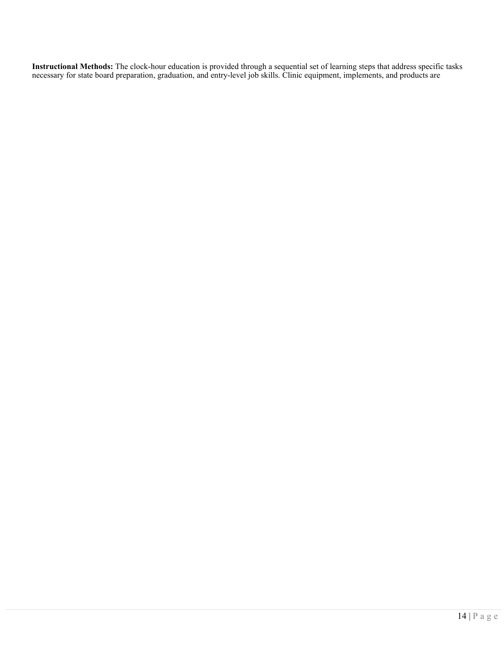**Instructional Methods:** The clock-hour education is provided through a sequential set of learning steps that address specific tasks necessary for state board preparation, graduation, and entry-level job skills. Clinic equipment, implements, and products are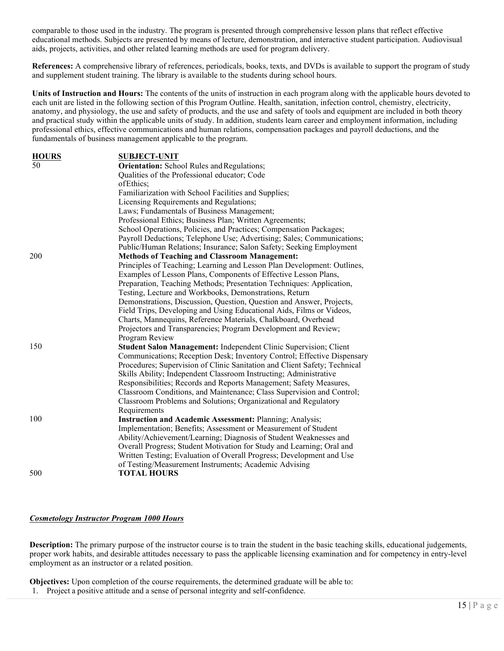comparable to those used in the industry. The program is presented through comprehensive lesson plans that reflect effective educational methods. Subjects are presented by means of lecture, demonstration, and interactive student participation. Audiovisual aids, projects, activities, and other related learning methods are used for program delivery.

**References:** A comprehensive library of references, periodicals, books, texts, and DVDs is available to support the program of study and supplement student training. The library is available to the students during school hours.

**Units of Instruction and Hours:** The contents of the units of instruction in each program along with the applicable hours devoted to each unit are listed in the following section of this Program Outline. Health, sanitation, infection control, chemistry, electricity, anatomy, and physiology, the use and safety of products, and the use and safety of tools and equipment are included in both theory and practical study within the applicable units of study. In addition, students learn career and employment information, including professional ethics, effective communications and human relations, compensation packages and payroll deductions, and the fundamentals of business management applicable to the program.

| <b>HOURS</b> | <b>SUBJECT-UNIT</b>                                                       |
|--------------|---------------------------------------------------------------------------|
| 50           | <b>Orientation:</b> School Rules and Regulations;                         |
|              | Qualities of the Professional educator; Code                              |
|              | ofEthics;                                                                 |
|              | Familiarization with School Facilities and Supplies;                      |
|              | Licensing Requirements and Regulations;                                   |
|              | Laws; Fundamentals of Business Management;                                |
|              | Professional Ethics; Business Plan; Written Agreements;                   |
|              | School Operations, Policies, and Practices; Compensation Packages;        |
|              | Payroll Deductions; Telephone Use; Advertising; Sales; Communications;    |
|              | Public/Human Relations; Insurance; Salon Safety; Seeking Employment       |
| 200          | <b>Methods of Teaching and Classroom Management:</b>                      |
|              | Principles of Teaching; Learning and Lesson Plan Development: Outlines,   |
|              | Examples of Lesson Plans, Components of Effective Lesson Plans,           |
|              | Preparation, Teaching Methods; Presentation Techniques: Application,      |
|              | Testing, Lecture and Workbooks, Demonstrations, Return                    |
|              | Demonstrations, Discussion, Question, Question and Answer, Projects,      |
|              | Field Trips, Developing and Using Educational Aids, Films or Videos,      |
|              | Charts, Mannequins, Reference Materials, Chalkboard, Overhead             |
|              | Projectors and Transparencies; Program Development and Review;            |
|              | Program Review                                                            |
| 150          | Student Salon Management: Independent Clinic Supervision; Client          |
|              | Communications; Reception Desk; Inventory Control; Effective Dispensary   |
|              | Procedures; Supervision of Clinic Sanitation and Client Safety; Technical |
|              | Skills Ability; Independent Classroom Instructing; Administrative         |
|              | Responsibilities; Records and Reports Management; Safety Measures,        |
|              | Classroom Conditions, and Maintenance; Class Supervision and Control;     |
|              | Classroom Problems and Solutions; Organizational and Regulatory           |
|              | Requirements                                                              |
| 100          | <b>Instruction and Academic Assessment: Planning; Analysis;</b>           |
|              | Implementation; Benefits; Assessment or Measurement of Student            |
|              | Ability/Achievement/Learning; Diagnosis of Student Weaknesses and         |
|              | Overall Progress; Student Motivation for Study and Learning; Oral and     |
|              | Written Testing; Evaluation of Overall Progress; Development and Use      |
|              | of Testing/Measurement Instruments; Academic Advising                     |
| 500          | <b>TOTAL HOURS</b>                                                        |
|              |                                                                           |

#### *Cosmetology Instructor Program 1000 Hours*

**Description:** The primary purpose of the instructor course is to train the student in the basic teaching skills, educational judgements, proper work habits, and desirable attitudes necessary to pass the applicable licensing examination and for competency in entry-level employment as an instructor or a related position.

**Objectives:** Upon completion of the course requirements, the determined graduate will be able to:

1. Project a positive attitude and a sense of personal integrity and self-confidence.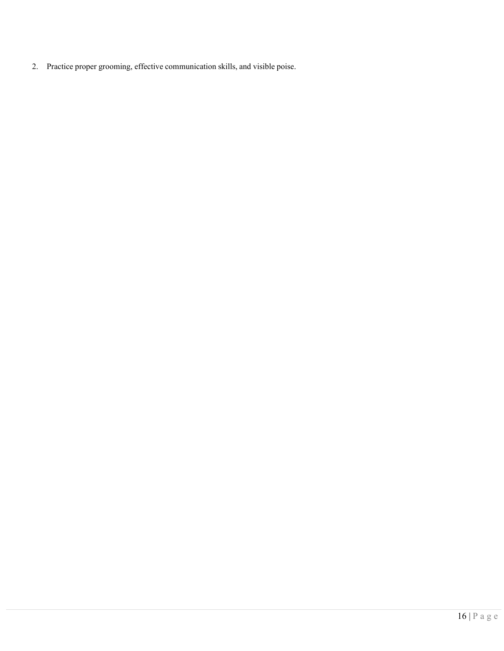2. Practice proper grooming, effective communication skills, and visible poise.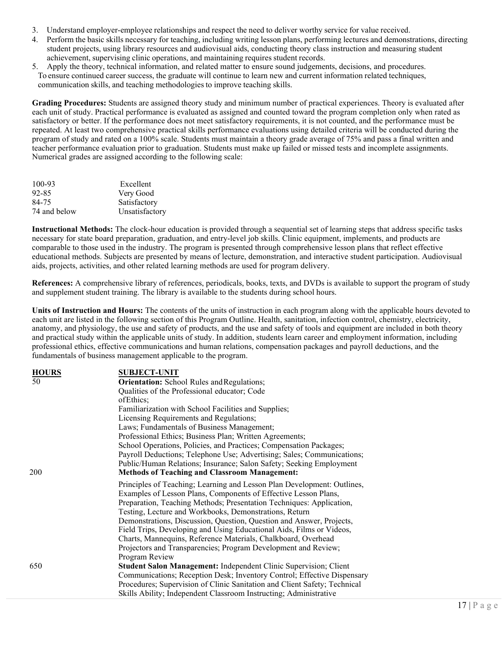- 3. Understand employer-employee relationships and respect the need to deliver worthy service for value received.
- 4. Perform the basic skills necessary for teaching, including writing lesson plans, performing lectures and demonstrations, directing student projects, using library resources and audiovisual aids, conducting theory class instruction and measuring student achievement, supervising clinic operations, and maintaining requires student records.
- 5. Apply the theory, technical information, and related matter to ensure sound judgements, decisions, and procedures. To ensure continued career success, the graduate will continue to learn new and current information related techniques, communication skills, and teaching methodologies to improve teaching skills.

**Grading Procedures:** Students are assigned theory study and minimum number of practical experiences. Theory is evaluated after each unit of study. Practical performance is evaluated as assigned and counted toward the program completion only when rated as satisfactory or better. If the performance does not meet satisfactory requirements, it is not counted, and the performance must be repeated. At least two comprehensive practical skills performance evaluations using detailed criteria will be conducted during the program of study and rated on a 100% scale. Students must maintain a theory grade average of 75% and pass a final written and teacher performance evaluation prior to graduation. Students must make up failed or missed tests and incomplete assignments. Numerical grades are assigned according to the following scale:

| 100-93       | Excellent      |
|--------------|----------------|
| 92-85        | Very Good      |
| 84-75        | Satisfactory   |
| 74 and below | Unsatisfactory |

**Instructional Methods:** The clock-hour education is provided through a sequential set of learning steps that address specific tasks necessary for state board preparation, graduation, and entry-level job skills. Clinic equipment, implements, and products are comparable to those used in the industry. The program is presented through comprehensive lesson plans that reflect effective educational methods. Subjects are presented by means of lecture, demonstration, and interactive student participation. Audiovisual aids, projects, activities, and other related learning methods are used for program delivery.

**References:** A comprehensive library of references, periodicals, books, texts, and DVDs is available to support the program of study and supplement student training. The library is available to the students during school hours.

**Units of Instruction and Hours:** The contents of the units of instruction in each program along with the applicable hours devoted to each unit are listed in the following section of this Program Outline. Health, sanitation, infection control, chemistry, electricity, anatomy, and physiology, the use and safety of products, and the use and safety of tools and equipment are included in both theory and practical study within the applicable units of study. In addition, students learn career and employment information, including professional ethics, effective communications and human relations, compensation packages and payroll deductions, and the fundamentals of business management applicable to the program.

| <b>HOURS</b> | <b>SUBJECT-UNIT</b>                                                       |
|--------------|---------------------------------------------------------------------------|
| 50           | <b>Orientation:</b> School Rules and Regulations;                         |
|              | Qualities of the Professional educator; Code                              |
|              | of Ethics;                                                                |
|              | Familiarization with School Facilities and Supplies;                      |
|              | Licensing Requirements and Regulations;                                   |
|              | Laws; Fundamentals of Business Management;                                |
|              | Professional Ethics; Business Plan; Written Agreements;                   |
|              | School Operations, Policies, and Practices; Compensation Packages;        |
|              | Payroll Deductions; Telephone Use; Advertising; Sales; Communications;    |
|              | Public/Human Relations; Insurance; Salon Safety; Seeking Employment       |
| 200          | <b>Methods of Teaching and Classroom Management:</b>                      |
|              | Principles of Teaching; Learning and Lesson Plan Development: Outlines,   |
|              | Examples of Lesson Plans, Components of Effective Lesson Plans,           |
|              | Preparation, Teaching Methods; Presentation Techniques: Application,      |
|              | Testing, Lecture and Workbooks, Demonstrations, Return                    |
|              | Demonstrations, Discussion, Question, Question and Answer, Projects,      |
|              | Field Trips, Developing and Using Educational Aids, Films or Videos,      |
|              | Charts, Mannequins, Reference Materials, Chalkboard, Overhead             |
|              | Projectors and Transparencies; Program Development and Review;            |
|              | Program Review                                                            |
| 650          | Student Salon Management: Independent Clinic Supervision; Client          |
|              | Communications; Reception Desk; Inventory Control; Effective Dispensary   |
|              | Procedures; Supervision of Clinic Sanitation and Client Safety; Technical |
|              | Skills Ability; Independent Classroom Instructing; Administrative         |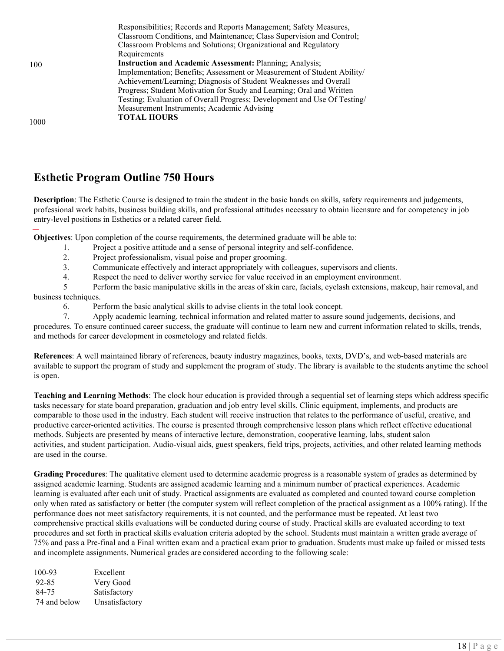|      | Responsibilities; Records and Reports Management; Safety Measures,       |
|------|--------------------------------------------------------------------------|
|      | Classroom Conditions, and Maintenance; Class Supervision and Control;    |
|      | Classroom Problems and Solutions; Organizational and Regulatory          |
|      | Requirements                                                             |
| 100  | <b>Instruction and Academic Assessment: Planning; Analysis;</b>          |
|      | Implementation; Benefits; Assessment or Measurement of Student Ability/  |
|      | Achievement/Learning; Diagnosis of Student Weaknesses and Overall        |
|      | Progress; Student Motivation for Study and Learning; Oral and Written    |
|      | Testing; Evaluation of Overall Progress; Development and Use Of Testing/ |
|      | Measurement Instruments; Academic Advising                               |
|      | <b>TOTAL HOURS</b>                                                       |
| 1000 |                                                                          |

# **Esthetic Program Outline 750 Hours**

**Description**: The Esthetic Course is designed to train the student in the basic hands on skills, safety requirements and judgements, professional work habits, business building skills, and professional attitudes necessary to obtain licensure and for competency in job entry-level positions in Esthetics or a related career field.

**Objectives**: Upon completion of the course requirements, the determined graduate will be able to:

- 1. Project a positive attitude and a sense of personal integrity and self-confidence.
- 2. Project professionalism, visual poise and proper grooming.
- 3. Communicate effectively and interact appropriately with colleagues, supervisors and clients.
- 4. Respect the need to deliver worthy service for value received in an employment environment.

5 Perform the basic manipulative skills in the areas of skin care, facials, eyelash extensions, makeup, hair removal, and business techniques.

6. Perform the basic analytical skills to advise clients in the total look concept.

7. Apply academic learning, technical information and related matter to assure sound judgements, decisions, and procedures. To ensure continued career success, the graduate will continue to learn new and current information related to skills, trends, and methods for career development in cosmetology and related fields.

**References**: A well maintained library of references, beauty industry magazines, books, texts, DVD's, and web-based materials are available to support the program of study and supplement the program of study. The library is available to the students anytime the school is open.

**Teaching and Learning Methods**: The clock hour education is provided through a sequential set of learning steps which address specific tasks necessary for state board preparation, graduation and job entry level skills. Clinic equipment, implements, and products are comparable to those used in the industry. Each student will receive instruction that relates to the performance of useful, creative, and productive career-oriented activities. The course is presented through comprehensive lesson plans which reflect effective educational methods. Subjects are presented by means of interactive lecture, demonstration, cooperative learning, labs, student salon activities, and student participation. Audio-visual aids, guest speakers, field trips, projects, activities, and other related learning methods are used in the course.

**Grading Procedures**: The qualitative element used to determine academic progress is a reasonable system of grades as determined by assigned academic learning. Students are assigned academic learning and a minimum number of practical experiences. Academic learning is evaluated after each unit of study. Practical assignments are evaluated as completed and counted toward course completion only when rated as satisfactory or better (the computer system will reflect completion of the practical assignment as a 100% rating). If the performance does not meet satisfactory requirements, it is not counted, and the performance must be repeated. At least two comprehensive practical skills evaluations will be conducted during course of study. Practical skills are evaluated according to text procedures and set forth in practical skills evaluation criteria adopted by the school. Students must maintain a written grade average of 75% and pass a Pre-final and a Final written exam and a practical exam prior to graduation. Students must make up failed or missed tests and incomplete assignments. Numerical grades are considered according to the following scale:

| Excellent      |
|----------------|
| Very Good      |
| Satisfactory   |
| Unsatisfactory |
|                |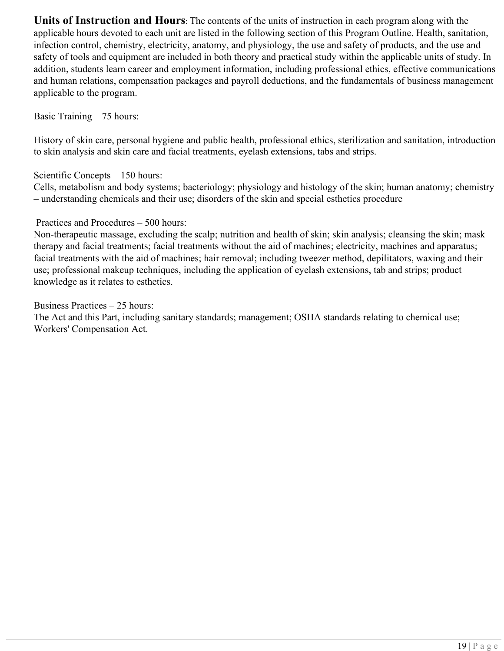**Units of Instruction and Hours**: The contents of the units of instruction in each program along with the applicable hours devoted to each unit are listed in the following section of this Program Outline. Health, sanitation, infection control, chemistry, electricity, anatomy, and physiology, the use and safety of products, and the use and safety of tools and equipment are included in both theory and practical study within the applicable units of study. In addition, students learn career and employment information, including professional ethics, effective communications and human relations, compensation packages and payroll deductions, and the fundamentals of business management applicable to the program.

Basic Training – 75 hours:

History of skin care, personal hygiene and public health, professional ethics, sterilization and sanitation, introduction to skin analysis and skin care and facial treatments, eyelash extensions, tabs and strips.

Scientific Concepts – 150 hours:

Cells, metabolism and body systems; bacteriology; physiology and histology of the skin; human anatomy; chemistry – understanding chemicals and their use; disorders of the skin and special esthetics procedure

Practices and Procedures – 500 hours:

Non-therapeutic massage, excluding the scalp; nutrition and health of skin; skin analysis; cleansing the skin; mask therapy and facial treatments; facial treatments without the aid of machines; electricity, machines and apparatus; facial treatments with the aid of machines; hair removal; including tweezer method, depilitators, waxing and their use; professional makeup techniques, including the application of eyelash extensions, tab and strips; product knowledge as it relates to esthetics.

Business Practices – 25 hours:

The Act and this Part, including sanitary standards; management; OSHA standards relating to chemical use; Workers' Compensation Act.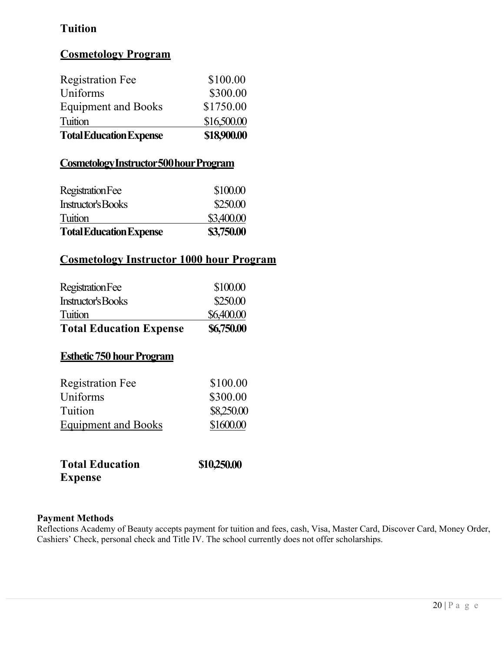# **Tuition**

# **Cosmetology Program**

| \$16,500.00 |
|-------------|
| \$1750.00   |
| \$300.00    |
| \$100.00    |
|             |

# **CosmetologyInstructor500hourProgram**

| <b>Total Education Expense</b> | \$3,750.00 |
|--------------------------------|------------|
| Tuition                        | \$3,400.00 |
| Instructor's Books             | \$250.00   |
| Registration Fee               | \$100.00   |
|                                |            |

# **Cosmetology Instructor 1000 hour Program**

| <b>Total Education Expense</b> | \$6,750.00 |
|--------------------------------|------------|
| Tuition                        | \$6,400.00 |
| Instructor's Books             | \$250.00   |
| Registration Fee               | \$100.00   |
|                                |            |

# **Esthetic 750 hour Program**

| <b>Registration Fee</b>    | \$100.00   |
|----------------------------|------------|
| Uniforms                   | \$300.00   |
| Tuition                    | \$8,250.00 |
| <b>Equipment and Books</b> | \$1600.00  |
|                            |            |

| <b>Total Education</b> | \$10,250.00 |
|------------------------|-------------|
| <b>Expense</b>         |             |

# **Payment Methods**

Reflections Academy of Beauty accepts payment for tuition and fees, cash, Visa, Master Card, Discover Card, Money Order, Cashiers' Check, personal check and Title IV. The school currently does not offer scholarships.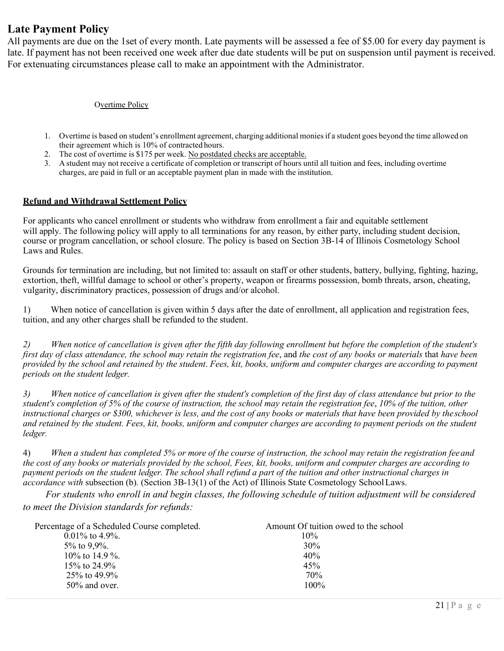# **Late Payment Policy**

All payments are due on the 1set of every month. Late payments will be assessed a fee of \$5.00 for every day payment is late. If payment has not been received one week after due date students will be put on suspension until payment is received. For extenuating circumstances please call to make an appointment with the Administrator.

#### Overtime Policy

- 1. Overtime is based on student's enrollment agreement, charging additional moniesif a student goes beyond the time allowed on their agreement which is 10% of contracted hours.
- 2. The cost of overtime is \$175 per week. No postdated checks are acceptable.
- 3. A student may not receive a certificate of completion or transcript of hours until all tuition and fees, including overtime charges, are paid in full or an acceptable payment plan in made with the institution.

#### **Refund and Withdrawal Settlement Policy**

For applicants who cancel enrollment or students who withdraw from enrollment a fair and equitable settlement will apply. The following policy will apply to all terminations for any reason, by either party, including student decision, course or program cancellation, or school closure. The policy is based on Section 3B-14 of Illinois Cosmetology School Laws and Rules.

Grounds for termination are including, but not limited to: assault on staff or other students, battery, bullying, fighting, hazing, extortion, theft, willful damage to school or other's property, weapon or firearms possession, bomb threats, arson, cheating, vulgarity, discriminatory practices, possession of drugs and/or alcohol.

1) When notice of cancellation is given within 5 days after the date of enrollment, all application and registration fees, tuition, and any other charges shall be refunded to the student.

*2) When notice of cancellation is given after the fifth day following enrollment but before the completion of the student's first day of class attendance, the school may retain the registration fee*, and *the cost of any books or materials* that *have been provided by the school and retained by the student*. *Fees, kit, books, uniform and computer charges are according to payment periods on the student ledger.*

*3) When notice of cancellation is given after the student's completion of the first day of class attendance but prior to the student's completion of 5% of the course of instruction, the school may retain the registration fee*, *10% of the tuition, other instructional charges or \$300, whichever is less, and the cost of any books or materials that have been provided by the school and retained by the student. Fees, kit, books, uniform and computer charges are according to payment periods on the student ledger.*

4) *When a student has completed 5% or more of the course of instruction, the school may retain the registration feeand the cost of any books or materials provided by the school, Fees, kit, books, uniform and computer charges are according to payment periods on the student ledger. The school shall refund a part of the tuition and other instructional charges in accordance with* subsection (b)*.* (Section 3B-13(1) of the Act) of Illinois State Cosmetology School Laws.

*For students who enroll in and begin classes, the following schedule of tuition adjustment will be considered to meet the Division standards for refunds:* 

| Percentage of a Scheduled Course completed. | Amount Of tuition owed to the school |
|---------------------------------------------|--------------------------------------|
| $0.01\%$ to 4.9%.                           | $10\%$                               |
| $5\%$ to 9,9%.                              | 30%                                  |
| 10\% to 14.9 \%.                            | 40%                                  |
| 15\% to 24.9\%                              | 45%                                  |
| $25\%$ to 49.9%                             | 70%                                  |
| $50\%$ and over.                            | $100\%$                              |
|                                             |                                      |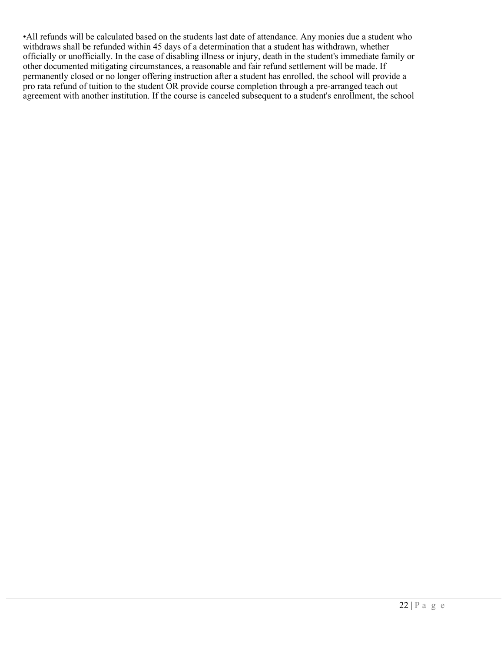•All refunds will be calculated based on the students last date of attendance. Any monies due a student who withdraws shall be refunded within 45 days of a determination that a student has withdrawn, whether officially or unofficially. In the case of disabling illness or injury, death in the student's immediate family or other documented mitigating circumstances, a reasonable and fair refund settlement will be made. If permanently closed or no longer offering instruction after a student has enrolled, the school will provide a pro rata refund of tuition to the student OR provide course completion through a pre-arranged teach out agreement with another institution. If the course is canceled subsequent to a student's enrollment, the school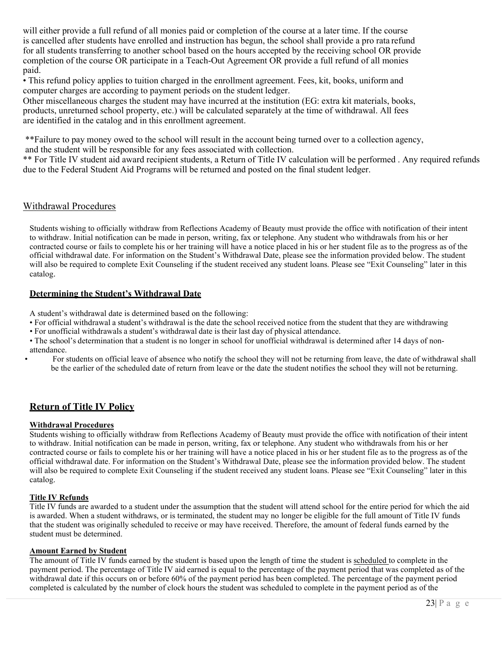will either provide a full refund of all monies paid or completion of the course at a later time. If the course is cancelled after students have enrolled and instruction has begun, the school shall provide a pro rata refund for all students transferring to another school based on the hours accepted by the receiving school OR provide completion of the course OR participate in a Teach-Out Agreement OR provide a full refund of all monies paid.

• This refund policy applies to tuition charged in the enrollment agreement. Fees, kit, books, uniform and computer charges are according to payment periods on the student ledger.

Other miscellaneous charges the student may have incurred at the institution (EG: extra kit materials, books, products, unreturned school property, etc.) will be calculated separately at the time of withdrawal. All fees are identified in the catalog and in this enrollment agreement.

\*\*Failure to pay money owed to the school will result in the account being turned over to a collection agency, and the student will be responsible for any fees associated with collection.

\*\* For Title IV student aid award recipient students, a Return of Title IV calculation will be performed . Any required refunds due to the Federal Student Aid Programs will be returned and posted on the final student ledger.

## Withdrawal Procedures

Students wishing to officially withdraw from Reflections Academy of Beauty must provide the office with notification of their intent to withdraw. Initial notification can be made in person, writing, fax or telephone. Any student who withdrawals from his or her contracted course or fails to complete his or her training will have a notice placed in his or her student file as to the progress as of the official withdrawal date. For information on the Student's Withdrawal Date, please see the information provided below. The student will also be required to complete Exit Counseling if the student received any student loans. Please see "Exit Counseling" later in this catalog.

#### **Determining the Student's Withdrawal Date**

A student's withdrawal date is determined based on the following:

- For official withdrawal a student's withdrawal is the date the school received notice from the student that they are withdrawing
- For unofficial withdrawals a student's withdrawal date is their last day of physical attendance.
- The school's determination that a student is no longer in school for unofficial withdrawal is determined after 14 days of nonattendance.
- For students on official leave of absence who notify the school they will not be returning from leave, the date of withdrawal shall be the earlier of the scheduled date of return from leave or the date the student notifies the school they will not be returning.

# **Return of Title IV Policy**

#### **Withdrawal Procedures**

Students wishing to officially withdraw from Reflections Academy of Beauty must provide the office with notification of their intent to withdraw. Initial notification can be made in person, writing, fax or telephone. Any student who withdrawals from his or her contracted course or fails to complete his or her training will have a notice placed in his or her student file as to the progress as of the official withdrawal date. For information on the Student's Withdrawal Date, please see the information provided below. The student will also be required to complete Exit Counseling if the student received any student loans. Please see "Exit Counseling" later in this catalog.

#### **Title IV Refunds**

Title IV funds are awarded to a student under the assumption that the student will attend school for the entire period for which the aid is awarded. When a student withdraws, or is terminated, the student may no longer be eligible for the full amount of Title IV funds that the student was originally scheduled to receive or may have received. Therefore, the amount of federal funds earned by the student must be determined.

#### **Amount Earned by Student**

The amount of Title IV funds earned by the student is based upon the length of time the student is scheduled to complete in the payment period. The percentage of Title IV aid earned is equal to the percentage of the payment period that was completed as of the withdrawal date if this occurs on or before 60% of the payment period has been completed. The percentage of the payment period completed is calculated by the number of clock hours the student was scheduled to complete in the payment period as of the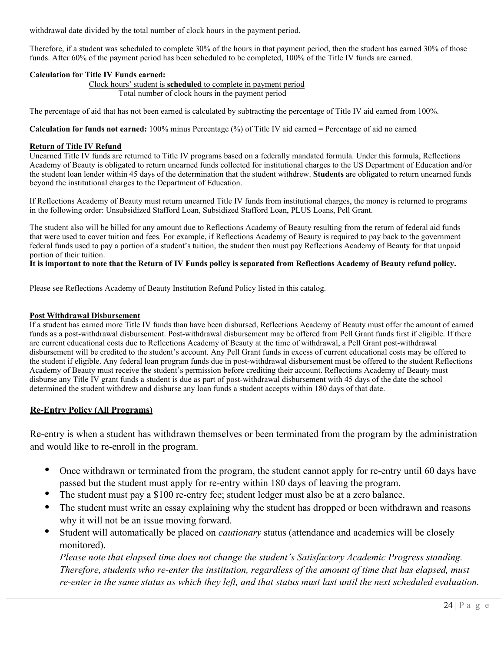withdrawal date divided by the total number of clock hours in the payment period.

Therefore, if a student was scheduled to complete 30% of the hours in that payment period, then the student has earned 30% of those funds. After 60% of the payment period has been scheduled to be completed, 100% of the Title IV funds are earned.

### **Calculation for Title IV Funds earned:**

Clock hours' student is **scheduled** to complete in payment period Total number of clock hours in the payment period

The percentage of aid that has not been earned is calculated by subtracting the percentage of Title IV aid earned from 100%.

**Calculation for funds not earned:** 100% minus Percentage (%) of Title IV aid earned = Percentage of aid no earned

#### **Return of Title IV Refund**

Unearned Title IV funds are returned to Title IV programs based on a federally mandated formula. Under this formula, Reflections Academy of Beauty is obligated to return unearned funds collected for institutional charges to the US Department of Education and/or the student loan lender within 45 days of the determination that the student withdrew. **Students** are obligated to return unearned funds beyond the institutional charges to the Department of Education.

If Reflections Academy of Beauty must return unearned Title IV funds from institutional charges, the money is returned to programs in the following order: Unsubsidized Stafford Loan, Subsidized Stafford Loan, PLUS Loans, Pell Grant.

The student also will be billed for any amount due to Reflections Academy of Beauty resulting from the return of federal aid funds that were used to cover tuition and fees. For example, if Reflections Academy of Beauty is required to pay back to the government federal funds used to pay a portion of a student's tuition, the student then must pay Reflections Academy of Beauty for that unpaid portion of their tuition.

#### **It is important to note that the Return of IV Funds policy is separated from Reflections Academy of Beauty refund policy.**

Please see Reflections Academy of Beauty Institution Refund Policy listed in this catalog.

#### **Post Withdrawal Disbursement**

If a student has earned more Title IV funds than have been disbursed, Reflections Academy of Beauty must offer the amount of earned funds as a post-withdrawal disbursement. Post-withdrawal disbursement may be offered from Pell Grant funds first if eligible. If there are current educational costs due to Reflections Academy of Beauty at the time of withdrawal, a Pell Grant post-withdrawal disbursement will be credited to the student's account. Any Pell Grant funds in excess of current educational costs may be offered to the student if eligible. Any federal loan program funds due in post-withdrawal disbursement must be offered to the student Reflections Academy of Beauty must receive the student's permission before crediting their account. Reflections Academy of Beauty must disburse any Title IV grant funds a student is due as part of post-withdrawal disbursement with 45 days of the date the school determined the student withdrew and disburse any loan funds a student accepts within 180 days of that date.

## **Re-Entry Policy (All Programs)**

Re-entry is when a student has withdrawn themselves or been terminated from the program by the administration and would like to re-enroll in the program.

- Once withdrawn or terminated from the program, the student cannot apply for re-entry until 60 days have passed but the student must apply for re-entry within 180 days of leaving the program.
- The student must pay a \$100 re-entry fee; student ledger must also be at a zero balance.
- The student must write an essay explaining why the student has dropped or been withdrawn and reasons why it will not be an issue moving forward.
- Student will automatically be placed on *cautionary* status (attendance and academics will be closely monitored).

*Please note that elapsed time does not change the student's Satisfactory Academic Progress standing. Therefore, students who re-enter the institution, regardless of the amount of time that has elapsed, must re-enter in the same status as which they left, and that status must last until the next scheduled evaluation.*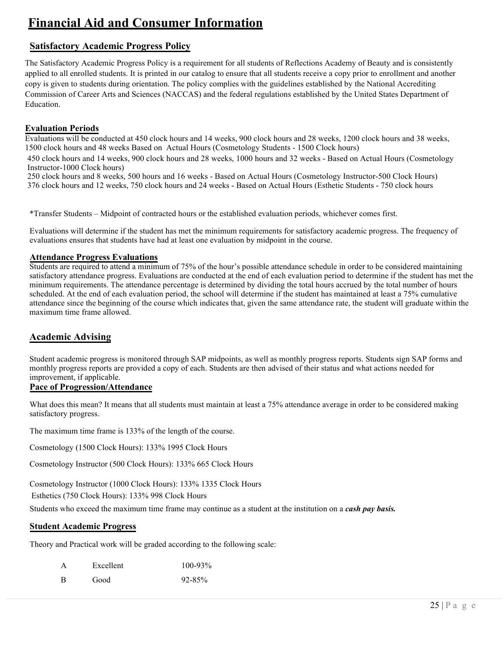# **Financial Aid and Consumer Information**

# **Satisfactory Academic Progress Policy**

The Satisfactory Academic Progress Policy is a requirement for all students of Reflections Academy of Beauty and is consistently applied to all enrolled students. It is printed in our catalog to ensure that all students receive a copy prior to enrollment and another copy is given to students during orientation. The policy complies with the guidelines established by the National Accrediting Commission of Career Arts and Sciences (NACCAS) and the federal regulations established by the United States Department of Education.

## **Evaluation Periods**

Evaluations will be conducted at 450 clock hours and 14 weeks, 900 clock hours and 28 weeks, 1200 clock hours and 38 weeks, 1500 clock hours and 48 weeks Based on Actual Hours (Cosmetology Students - 1500 Clock hours)

450 clock hours and 14 weeks, 900 clock hours and 28 weeks, 1000 hours and 32 weeks - Based on Actual Hours (Cosmetology Instructor-1000 Clock hours)

250 clock hours and 8 weeks, 500 hours and 16 weeks - Based on Actual Hours (Cosmetology Instructor-500 Clock Hours) 376 clock hours and 12 weeks, 750 clock hours and 24 weeks - Based on Actual Hours (Esthetic Students - 750 clock hours

\*Transfer Students – Midpoint of contracted hours or the established evaluation periods, whichever comes first.

Evaluations will determine if the student has met the minimum requirements for satisfactory academic progress. The frequency of evaluations ensures that students have had at least one evaluation by midpoint in the course.

## **Attendance Progress Evaluations**

Students are required to attend a minimum of 75% of the hour's possible attendance schedule in order to be considered maintaining satisfactory attendance progress. Evaluations are conducted at the end of each evaluation period to determine if the student has met the minimum requirements. The attendance percentage is determined by dividing the total hours accrued by the total number of hours scheduled. At the end of each evaluation period, the school will determine if the student has maintained at least a 75% cumulative attendance since the beginning of the course which indicates that, given the same attendance rate, the student will graduate within the maximum time frame allowed.

# **Academic Advising**

Student academic progress is monitored through SAP midpoints, as well as monthly progress reports. Students sign SAP forms and monthly progress reports are provided a copy of each. Students are then advised of their status and what actions needed for improvement, if applicable.

# **Pace of Progression/Attendance**

What does this mean? It means that all students must maintain at least a 75% attendance average in order to be considered making satisfactory progress.

The maximum time frame is 133% of the length of the course.

Cosmetology (1500 Clock Hours): 133% 1995 Clock Hours

Cosmetology Instructor (500 Clock Hours): 133% 665 Clock Hours

Cosmetology Instructor (1000 Clock Hours): 133% 1335 Clock Hours

Esthetics (750 Clock Hours): 133% 998 Clock Hours

Students who exceed the maximum time frame may continue as a student at the institution on a *cash pay basis.*

# **Student Academic Progress**

Theory and Practical work will be graded according to the following scale:

| A | Excellent | $100 - 93\%$ |
|---|-----------|--------------|
| B | Good      | $92 - 85%$   |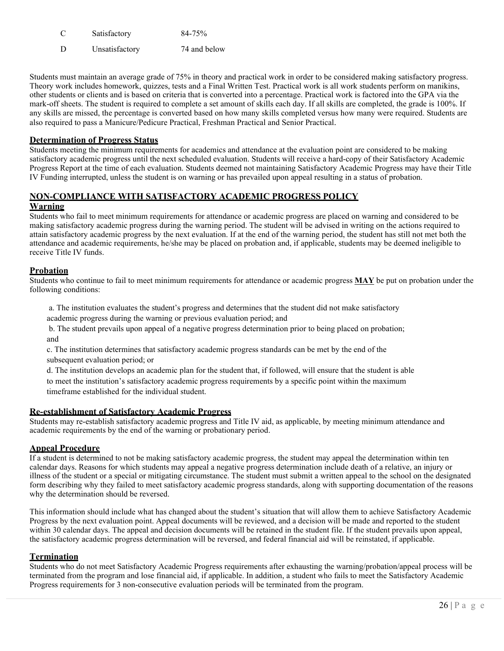- C Satisfactory 84-75%
- D Unsatisfactory 74 and below

Students must maintain an average grade of 75% in theory and practical work in order to be considered making satisfactory progress. Theory work includes homework, quizzes, tests and a Final Written Test. Practical work is all work students perform on manikins, other students or clients and is based on criteria that is converted into a percentage. Practical work is factored into the GPA via the mark-off sheets. The student is required to complete a set amount of skills each day. If all skills are completed, the grade is 100%. If any skills are missed, the percentage is converted based on how many skills completed versus how many were required. Students are also required to pass a Manicure/Pedicure Practical, Freshman Practical and Senior Practical.

#### **Determination of Progress Status**

Students meeting the minimum requirements for academics and attendance at the evaluation point are considered to be making satisfactory academic progress until the next scheduled evaluation. Students will receive a hard-copy of their Satisfactory Academic Progress Report at the time of each evaluation. Students deemed not maintaining Satisfactory Academic Progress may have their Title IV Funding interrupted, unless the student is on warning or has prevailed upon appeal resulting in a status of probation.

# **NON-COMPLIANCE WITH SATISFACTORY ACADEMIC PROGRESS POLICY**

#### **Warning**

Students who fail to meet minimum requirements for attendance or academic progress are placed on warning and considered to be making satisfactory academic progress during the warning period. The student will be advised in writing on the actions required to attain satisfactory academic progress by the next evaluation. If at the end of the warning period, the student has still not met both the attendance and academic requirements, he/she may be placed on probation and, if applicable, students may be deemed ineligible to receive Title IV funds.

#### **Probation**

Students who continue to fail to meet minimum requirements for attendance or academic progress **MAY** be put on probation under the following conditions:

a. The institution evaluates the student's progress and determines that the student did not make satisfactory academic progress during the warning or previous evaluation period; and

b. The student prevails upon appeal of a negative progress determination prior to being placed on probation; and

c. The institution determines that satisfactory academic progress standards can be met by the end of the subsequent evaluation period; or

d. The institution develops an academic plan for the student that, if followed, will ensure that the student is able to meet the institution's satisfactory academic progress requirements by a specific point within the maximum timeframe established for the individual student.

#### **Re-establishment of Satisfactory Academic Progress**

Students may re-establish satisfactory academic progress and Title IV aid, as applicable, by meeting minimum attendance and academic requirements by the end of the warning or probationary period.

#### **Appeal Procedure**

If a student is determined to not be making satisfactory academic progress, the student may appeal the determination within ten calendar days. Reasons for which students may appeal a negative progress determination include death of a relative, an injury or illness of the student or a special or mitigating circumstance. The student must submit a written appeal to the school on the designated form describing why they failed to meet satisfactory academic progress standards, along with supporting documentation of the reasons why the determination should be reversed.

This information should include what has changed about the student's situation that will allow them to achieve Satisfactory Academic Progress by the next evaluation point. Appeal documents will be reviewed, and a decision will be made and reported to the student within 30 calendar days. The appeal and decision documents will be retained in the student file. If the student prevails upon appeal, the satisfactory academic progress determination will be reversed, and federal financial aid will be reinstated, if applicable.

#### **Termination**

Students who do not meet Satisfactory Academic Progress requirements after exhausting the warning/probation/appeal process will be terminated from the program and lose financial aid, if applicable. In addition, a student who fails to meet the Satisfactory Academic Progress requirements for 3 non-consecutive evaluation periods will be terminated from the program.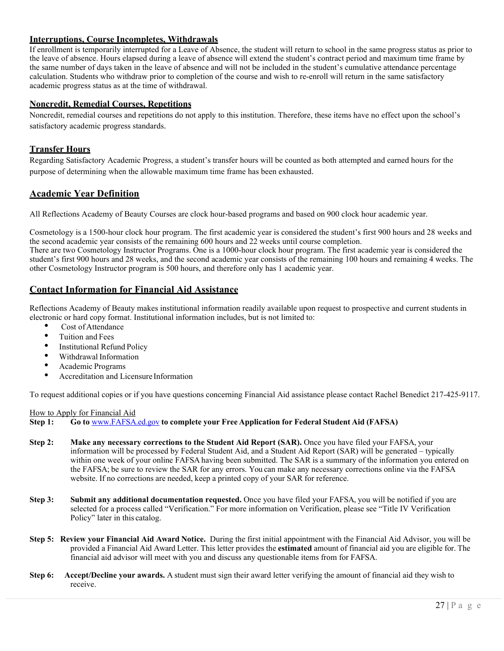### **Interruptions, Course Incompletes, Withdrawals**

If enrollment is temporarily interrupted for a Leave of Absence, the student will return to school in the same progress status as prior to the leave of absence. Hours elapsed during a leave of absence will extend the student's contract period and maximum time frame by the same number of days taken in the leave of absence and will not be included in the student's cumulative attendance percentage calculation. Students who withdraw prior to completion of the course and wish to re-enroll will return in the same satisfactory academic progress status as at the time of withdrawal.

#### **Noncredit, Remedial Courses, Repetitions**

Noncredit, remedial courses and repetitions do not apply to this institution. Therefore, these items have no effect upon the school's satisfactory academic progress standards.

## **Transfer Hours**

Regarding Satisfactory Academic Progress, a student's transfer hours will be counted as both attempted and earned hours for the purpose of determining when the allowable maximum time frame has been exhausted.

## **Academic Year Definition**

All Reflections Academy of Beauty Courses are clock hour-based programs and based on 900 clock hour academic year.

Cosmetology is a 1500-hour clock hour program. The first academic year is considered the student's first 900 hours and 28 weeks and the second academic year consists of the remaining 600 hours and 22 weeks until course completion.

There are two Cosmetology Instructor Programs. One is a 1000-hour clock hour program. The first academic year is considered the student's first 900 hours and 28 weeks, and the second academic year consists of the remaining 100 hours and remaining 4 weeks. The other Cosmetology Instructor program is 500 hours, and therefore only has 1 academic year.

## **Contact Information for Financial Aid Assistance**

Reflections Academy of Beauty makes institutional information readily available upon request to prospective and current students in electronic or hard copy format. Institutional information includes, but is not limited to:<br>
• Cost of Attendance

- 
- Tuition and Fees
- **Institutional Refund Policy**
- Withdrawal Information Academic Programs
- 
- Accreditation and Licensure Information

To request additional copies or if you have questions concerning Financial Aid assistance please contact Rachel Benedict 217-425-9117.

#### How to Apply for Financial Aid

**Step 1: Go to** [www.FAFSA.ed.gov](http://www.fafsa.ed.gov/) **to complete your Free Application for Federal Student Aid (FAFSA)**

- **Step 2: Make any necessary corrections to the Student Aid Report (SAR).** Once you have filed your FAFSA, your information will be processed by Federal Student Aid, and a Student Aid Report (SAR) will be generated – typically within one week of your online FAFSA having been submitted. The SAR is a summary of the information you entered on the FAFSA; be sure to review the SAR for any errors. You can make any necessary corrections online via the FAFSA website. If no corrections are needed, keep a printed copy of your SAR for reference.
- **Step 3: Submit any additional documentation requested.** Once you have filed your FAFSA, you will be notified if you are selected for a process called "Verification." For more information on Verification, please see "Title IV Verification Policy" later in this catalog.
- **Step 5: Review your Financial Aid Award Notice.** During the first initial appointment with the Financial Aid Advisor, you will be provided a Financial Aid Award Letter. This letter provides the **estimated** amount of financial aid you are eligible for. The financial aid advisor will meet with you and discuss any questionable items from for FAFSA.
- **Step 6: Accept/Decline your awards.** A student must sign their award letter verifying the amount of financial aid they wish to receive.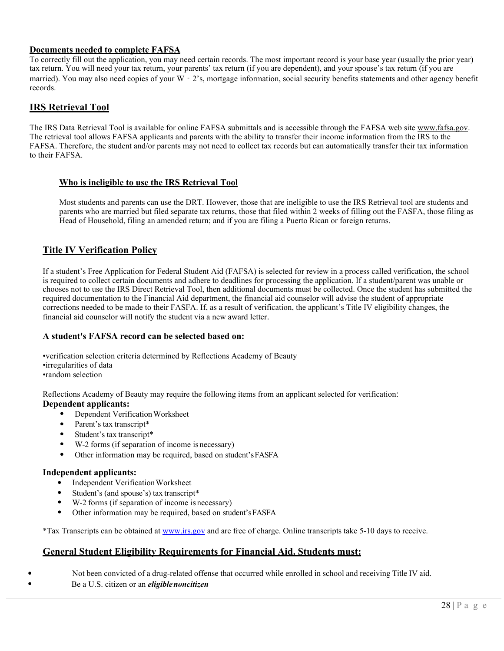### **Documents needed to complete FAFSA**

To correctly fill out the application, you may need certain records. The most important record is your base year (usually the prior year) tax return. You will need your tax return, your parents' tax return (if you are dependent), and your spouse's tax return (if you are married). You may also need copies of your W - 2's, mortgage information, social security benefits statements and other agency benefit records.

## **IRS Retrieval Tool**

The IRS Data Retrieval Tool is available for online FAFSA submittals and is accessible through the FAFSA web site [www.fafsa.gov.](http://www.fafsa.gov/) The retrieval tool allows FAFSA applicants and parents with the ability to transfer their income information from the IRS to the FAFSA. Therefore, the student and/or parents may not need to collect tax records but can automatically transfer their tax information to their FAFSA.

## **Who is ineligible to use the IRS Retrieval Tool**

Most students and parents can use the DRT. However, those that are ineligible to use the IRS Retrieval tool are students and parents who are married but filed separate tax returns, those that filed within 2 weeks of filling out the FASFA, those filing as Head of Household, filing an amended return; and if you are filing a Puerto Rican or foreign returns.

# **Title IV Verification Policy**

If a student's Free Application for Federal Student Aid (FAFSA) is selected for review in a process called verification, the school is required to collect certain documents and adhere to deadlines for processing the application. If a student/parent was unable or chooses not to use the IRS Direct Retrieval Tool, then additional documents must be collected. Once the student has submitted the required documentation to the Financial Aid department, the financial aid counselor will advise the student of appropriate corrections needed to be made to their FASFA. If, as a result of verification, the applicant's Title IV eligibility changes, the financial aid counselor will notify the student via a new award letter.

## **A student's FAFSA record can be selected based on:**

•verification selection criteria determined by Reflections Academy of Beauty •irregularities of data •random selection

Reflections Academy of Beauty may require the following items from an applicant selected for verification:

- **Dependent applicants:**
	- Dependent Verification Worksheet
	- Parent's tax transcript\*
	- Student's tax transcript\*
	- W-2 forms (if separation of income is necessary)
	- Other information may be required, based on student'sFASFA

#### **Independent applicants:**

- Independent Verification Worksheet
- Student's (and spouse's) tax transcript\*
- W-2 forms (if separation of income is necessary)
- Other information may be required, based on student'sFASFA

\*Tax Transcripts can be obtained a[t www.irs.gov](http://www.irs.gov/) and are free of charge. Online transcripts take 5-10 days to receive.

# **General Student Eligibility Requirements for Financial Aid. Students must:**

- Not been convicted of a drug-related offense that occurred while enrolled in school and receiving Title IV aid.
- Be a U.S. citizen or an *eligiblenoncitizen*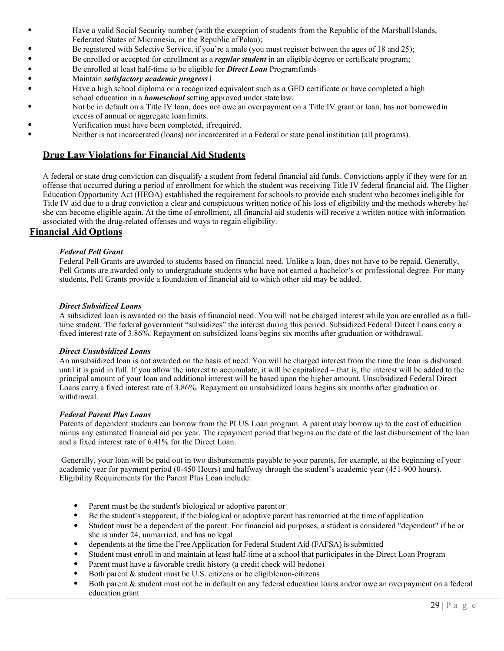- Have a valid Social Security number (with the exception of students from the Republic of the MarshallIslands, Federated States of Micronesia, or the Republic ofPalau);
- Be registered with Selective Service, if you're a male (you must register between the ages of 18 and 25);
- Be enrolled or accepted for enrollment as a *regular student* in an eligible degree or certificate program;
- Be enrolled at least half-time to be eligible for *Direct Loan* Programfunds
- Maintain *satisfactory academic progress*l
- Have a high school diploma or a recognized equivalent such as a GED certificate or have completed a high school education in a *homeschool* setting approved under statelaw.
- Not be in default on a Title IV loan, does not owe an overpayment on a Title IV grant or loan, has not borrowedin excess of annual or aggregate loan limits.
- Verification must have been completed, ifrequired.
- Neither is not incarcerated (loans) nor incarcerated in a Federal or state penal institution (all programs).

# **Drug Law Violations for Financial Aid Students**

A federal or state drug conviction can disqualify a student from federal financial aid funds. Convictions apply if they were for an offense that occurred during a period of enrollment for which the student was receiving Title IV federal financial aid. The Higher Education Opportunity Act (HEOA) established the requirement for schools to provide each student who becomes ineligible for Title IV aid due to a drug conviction a clear and conspicuous written notice of his loss of eligibility and the methods whereby he/ she can become eligible again. At the time of enrollment, all financial aid students will receive a written notice with information associated with the drug-related offenses and ways to regain eligibility.

## **Financial Aid Options**

#### *Federal Pell Grant*

Federal Pell Grants are awarded to students based on financial need. Unlike a loan, does not have to be repaid. Generally, Pell Grants are awarded only to undergraduate students who have not earned a bachelor's or professional degree. For many students, Pell Grants provide a foundation of financial aid to which other aid may be added.

#### *Direct Subsidized Loans*

A subsidized loan is awarded on the basis of financial need. You will not be charged interest while you are enrolled as a fulltime student. The federal government "subsidizes" the interest during this period. Subsidized Federal Direct Loans carry a fixed interest rate of 3.86%. Repayment on subsidized loans begins six months after graduation or withdrawal.

#### *Direct Unsubsidized Loans*

An unsubsidized loan is not awarded on the basis of need. You will be charged interest from the time the loan is disbursed until it is paid in full. If you allow the interest to accumulate, it will be capitalized – that is, the interest will be added to the principal amount of your loan and additional interest will be based upon the higher amount. Unsubsidized Federal Direct Loans carry a fixed interest rate of 3.86%. Repayment on unsubsidized loans begins six months after graduation or withdrawal.

#### *Federal Parent Plus Loans*

Parents of dependent students can borrow from the PLUS Loan program. A parent may borrow up to the cost of education minus any estimated financial aid per year. The repayment period that begins on the date of the last disbursement of the loan and a fixed interest rate of 6.41% for the Direct Loan.

Generally, your loan will be paid out in two disbursements payable to your parents, for example, at the beginning of your academic year for payment period (0-450 Hours) and halfway through the student's academic year (451-900 hours). Eligibility Requirements for the Parent Plus Loan include:

- Parent must be the student's biological or adoptive parent or
- Be the student's stepparent, if the biological or adoptive parent has remarried at the time of application
- Student must be a dependent of the parent. For financial aid purposes, a student is considered "dependent" if he or she is under 24, unmarried, and has no legal
- dependents at the time the Free Application for Federal Student Aid (FAFSA) is submitted
- Student must enroll in and maintain at least half-time at a school that participates in the Direct Loan Program
- Parent must have a favorable credit history (a credit check will bedone)
- Both parent & student must be U.S. citizens or be eligiblenon-citizens
- Both parent & student must not be in default on any federal education loans and/or owe an overpayment on a federal education grant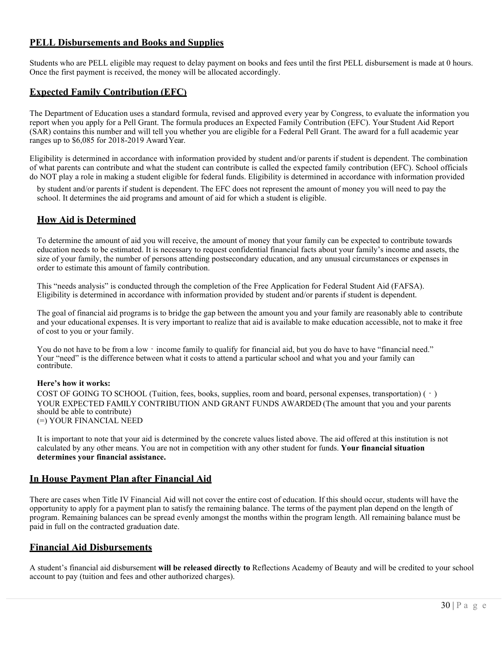# **PELL Disbursements and Books and Supplies**

Students who are PELL eligible may request to delay payment on books and fees until the first PELL disbursement is made at 0 hours. Once the first payment is received, the money will be allocated accordingly.

# **Expected Family Contribution (EFC)**

The Department of Education uses a standard formula, revised and approved every year by Congress, to evaluate the information you report when you apply for a Pell Grant. The formula produces an Expected Family Contribution (EFC). Your Student Aid Report (SAR) contains this number and will tell you whether you are eligible for a Federal Pell Grant. The award for a full academic year ranges up to \$6,085 for 2018-2019 Award Year.

Eligibility is determined in accordance with information provided by student and/or parents if student is dependent. The combination of what parents can contribute and what the student can contribute is called the expected family contribution (EFC). School officials do NOT play a role in making a student eligible for federal funds. Eligibility is determined in accordance with information provided

by student and/or parents if student is dependent. The EFC does not represent the amount of money you will need to pay the school. It determines the aid programs and amount of aid for which a student is eligible.

## **How Aid is Determined**

To determine the amount of aid you will receive, the amount of money that your family can be expected to contribute towards education needs to be estimated. It is necessary to request confidential financial facts about your family's income and assets, the size of your family, the number of persons attending postsecondary education, and any unusual circumstances or expenses in order to estimate this amount of family contribution.

This "needs analysis" is conducted through the completion of the Free Application for Federal Student Aid (FAFSA). Eligibility is determined in accordance with information provided by student and/or parents if student is dependent.

The goal of financial aid programs is to bridge the gap between the amount you and your family are reasonably able to contribute and your educational expenses. It is very important to realize that aid is available to make education accessible, not to make it free of cost to you or your family.

You do not have to be from a low - income family to qualify for financial aid, but you do have to have "financial need." Your "need" is the difference between what it costs to attend a particular school and what you and your family can contribute.

#### **Here's how it works:**

COST OF GOING TO SCHOOL (Tuition, fees, books, supplies, room and board, personal expenses, transportation) (‐) YOUR EXPECTED FAMILY CONTRIBUTION AND GRANT FUNDS AWARDED (The amount that you and your parents should be able to contribute) (=) YOUR FINANCIAL NEED

It is important to note that your aid is determined by the concrete values listed above. The aid offered at this institution is not calculated by any other means. You are not in competition with any other student for funds. **Your financial situation determines your financial assistance.**

## **In House Payment Plan after Financial Aid**

There are cases when Title IV Financial Aid will not cover the entire cost of education. If this should occur, students will have the opportunity to apply for a payment plan to satisfy the remaining balance. The terms of the payment plan depend on the length of program. Remaining balances can be spread evenly amongst the months within the program length. All remaining balance must be paid in full on the contracted graduation date.

## **Financial Aid Disbursements**

A student's financial aid disbursement **will be released directly to** Reflections Academy of Beauty and will be credited to your school account to pay (tuition and fees and other authorized charges).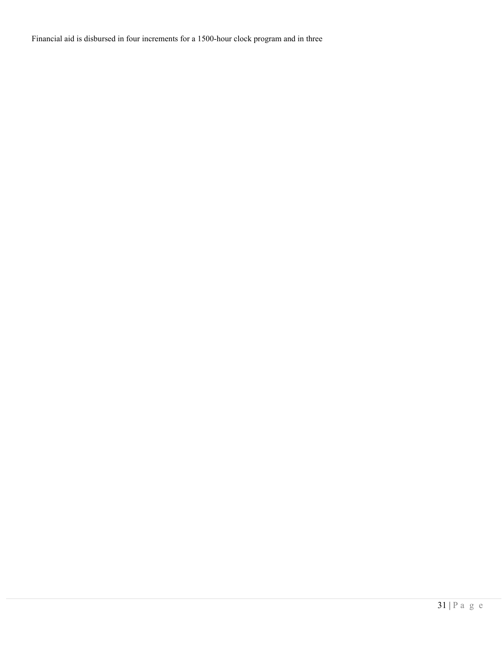Financial aid is disbursed in four increments for a 1500-hour clock program and in three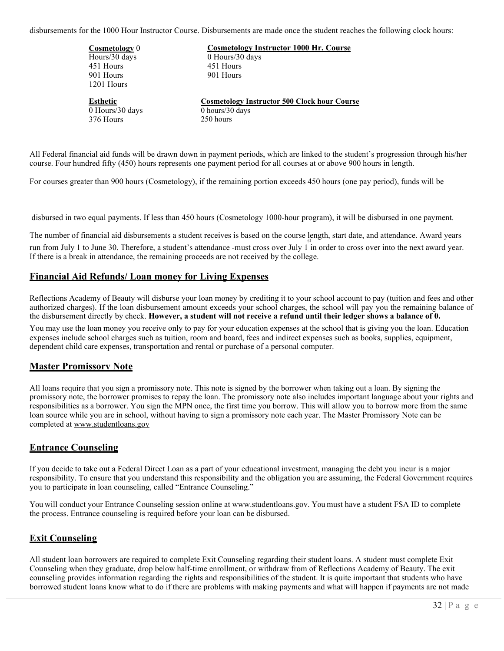disbursements for the 1000 Hour Instructor Course. Disbursements are made once the student reaches the following clock hours:

| <b>Cosmetology</b> 0 | <b>Cosmetology Instructor 1000 Hr. Course</b>       |
|----------------------|-----------------------------------------------------|
| Hours/30 days        | $0$ Hours/30 days                                   |
| 451 Hours            | 451 Hours                                           |
| 901 Hours            | 901 Hours                                           |
| 1201 Hours           |                                                     |
| <b>Esthetic</b>      | <b>Cosmetology Instructor 500 Clock hour Course</b> |
| $0$ Hours/30 days    | 0 hours/ $30$ days                                  |
| 376 Hours            | 250 hours                                           |
|                      |                                                     |

All Federal financial aid funds will be drawn down in payment periods, which are linked to the student's progression through his/her course. Four hundred fifty (450) hours represents one payment period for all courses at or above 900 hours in length.

For courses greater than 900 hours (Cosmetology), if the remaining portion exceeds 450 hours (one pay period), funds will be

disbursed in two equal payments. If less than 450 hours (Cosmetology 1000-hour program), it will be disbursed in one payment.

The number of financial aid disbursements a student receives is based on the course length, start date, and attendance. Award years st

run from July 1 to June 30. Therefore, a student's attendance -must cross over July 1 in order to cross over into the next award year. If there is a break in attendance, the remaining proceeds are not received by the college.

#### **Financial Aid Refunds/ Loan money for Living Expenses**

Reflections Academy of Beauty will disburse your loan money by crediting it to your school account to pay (tuition and fees and other authorized charges). If the loan disbursement amount exceeds your school charges, the school will pay you the remaining balance of the disbursement directly by check. **However, a student will not receive a refund until their ledger shows a balance of 0.**

You may use the loan money you receive only to pay for your education expenses at the school that is giving you the loan. Education expenses include school charges such as tuition, room and board, fees and indirect expenses such as books, supplies, equipment, dependent child care expenses, transportation and rental or purchase of a personal computer.

## **Master Promissory Note**

All loans require that you sign a promissory note. This note is signed by the borrower when taking out a loan. By signing the promissory note, the borrower promises to repay the loan. The promissory note also includes important language about your rights and responsibilities as a borrower. You sign the MPN once, the first time you borrow. This will allow you to borrow more from the same loan source while you are in school, without having to sign a promissory note each year. The Master Promissory Note can be completed at [www.studentloans.gov](http://www.studentloans.gov/)

## **Entrance Counseling**

If you decide to take out a Federal Direct Loan as a part of your educational investment, managing the debt you incur is a major responsibility. To ensure that you understand this responsibility and the obligation you are assuming, the Federal Government requires you to participate in loan counseling, called "Entrance Counseling."

You will conduct your Entrance Counseling session online at [www.studentloans.gov. Y](http://www.studentloans.gov/)ou must have a student FSA ID to complete the process. Entrance counseling is required before your loan can be disbursed.

## **Exit Counseling**

All student loan borrowers are required to complete Exit Counseling regarding their student loans. A student must complete Exit Counseling when they graduate, drop below half-time enrollment, or withdraw from of Reflections Academy of Beauty. The exit counseling provides information regarding the rights and responsibilities of the student. It is quite important that students who have borrowed student loans know what to do if there are problems with making payments and what will happen if payments are not made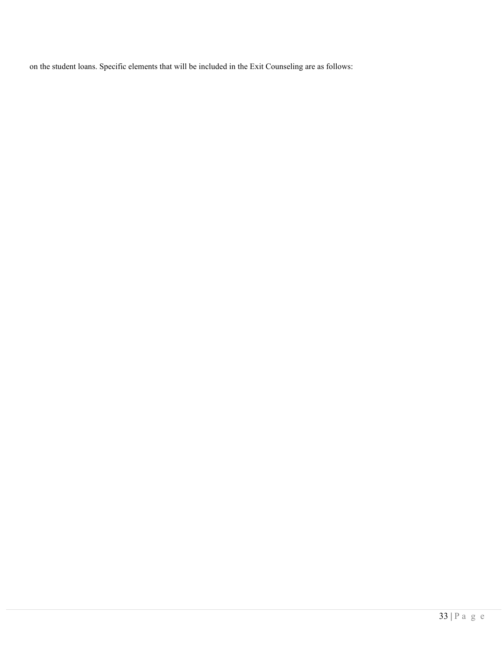on the student loans. Specific elements that will be included in the Exit Counseling are as follows: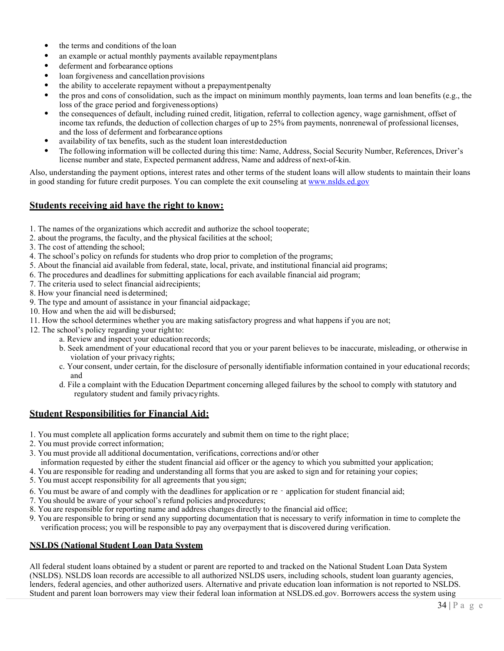- the terms and conditions of the loan
- an example or actual monthly payments available repaymentplans
- deferment and forbearance options
- loan forgiveness and cancellation provisions
- the ability to accelerate repayment without a prepayment penalty
- the pros and cons of consolidation, such as the impact on minimum monthly payments, loan terms and loan benefits (e.g., the loss of the grace period and forgivenessoptions)
- the consequences of default, including ruined credit, litigation, referral to collection agency, wage garnishment, offset of income tax refunds, the deduction of collection charges of up to 25% from payments, nonrenewal of professional licenses, and the loss of deferment and forbearanceoptions
- availability of tax benefits, such as the student loan interestdeduction
- The following information will be collected during this time: Name, Address, Social Security Number, References, Driver's license number and state, Expected permanent address, Name and address of next-of-kin.

Also, understanding the payment options, interest rates and other terms of the student loans will allow students to maintain their loans in good standing for future credit purposes. You can complete the exit counseling a[t www.nslds.ed.gov](http://www.nslds.ed.gov/)

## **Students receiving aid have the right to know:**

- 1. The names of the organizations which accredit and authorize the school tooperate;
- 2. about the programs, the faculty, and the physical facilities at the school;
- 3. The cost of attending the school;
- 4. The school's policy on refunds for students who drop prior to completion of the programs;
- 5. About the financial aid available from federal, state, local, private, and institutional financial aid programs;
- 6. The procedures and deadlines for submitting applications for each available financial aid program;
- 7. The criteria used to select financial aidrecipients;
- 8. How your financial need is determined;
- 9. The type and amount of assistance in your financial aidpackage;
- 10. How and when the aid will bedisbursed;
- 11. How the school determines whether you are making satisfactory progress and what happens if you are not;
- 12. The school's policy regarding your right to:
	- a. Review and inspect your education records;
	- b. Seek amendment of your educational record that you or your parent believes to be inaccurate, misleading, or otherwise in violation of your privacy rights;
	- c. Your consent, under certain, for the disclosure of personally identifiable information contained in your educational records; and
	- d. File a complaint with the Education Department concerning alleged failures by the school to comply with statutory and regulatory student and family privacyrights.

## **Student Responsibilities for Financial Aid:**

- 1. You must complete all application forms accurately and submit them on time to the right place;
- 2. You must provide correct information;
- 3. You must provide all additional documentation, verifications, corrections and/or other
- information requested by either the student financial aid officer or the agency to which you submitted your application;
- 4. You are responsible for reading and understanding all forms that you are asked to sign and for retaining your copies;
- 5. You must accept responsibility for all agreements that you sign;
- 6. You must be aware of and comply with the deadlines for application or re application for student financial aid;
- 7. You should be aware of your school's refund policies and procedures;
- 8. You are responsible for reporting name and address changes directly to the financial aid office;
- 9. You are responsible to bring or send any supporting documentation that is necessary to verify information in time to complete the verification process; you will be responsible to pay any overpayment that is discovered during verification.

#### **NSLDS (National Student Loan Data System**

All federal student loans obtained by a student or parent are reported to and tracked on the National Student Loan Data System (NSLDS). NSLDS loan records are accessible to all authorized NSLDS users, including schools, student loan guaranty agencies, lenders, federal agencies, and other authorized users. Alternative and private education loan information is not reported to NSLDS. Student and parent loan borrowers may view their federal loan information at NSLDS.ed.gov. Borrowers access the system using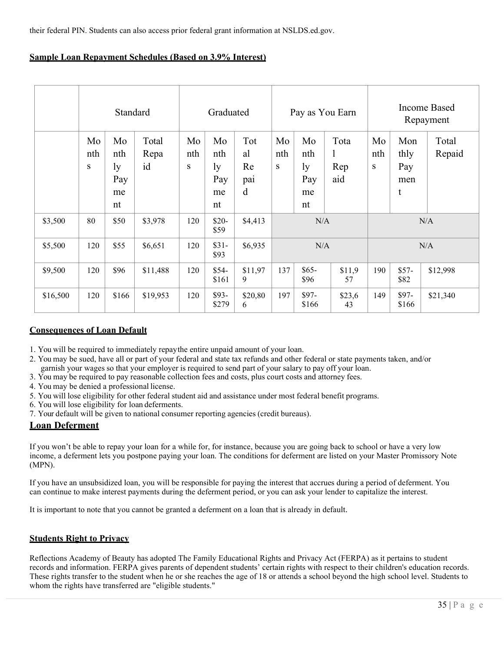their federal PIN. Students can also access prior federal grant information at NSLDS.ed.gov.

|  | <b>Sample Loan Repayment Schedules (Based on 3.9% Interest)</b> |
|--|-----------------------------------------------------------------|
|  |                                                                 |

|          |                | Standard                           |                     | Graduated      |                                    |                             | Pay as You Earn |                                    |                                    | <b>Income Based</b><br>Repayment |                                |                 |
|----------|----------------|------------------------------------|---------------------|----------------|------------------------------------|-----------------------------|-----------------|------------------------------------|------------------------------------|----------------------------------|--------------------------------|-----------------|
|          | Mo<br>nth<br>S | Mo<br>nth<br>ly<br>Pay<br>me<br>nt | Total<br>Repa<br>id | Mo<br>nth<br>S | Mo<br>nth<br>ly<br>Pay<br>me<br>nt | Tot<br>al<br>Re<br>pai<br>d | Mo<br>nth<br>S  | Mo<br>nth<br>ly<br>Pay<br>me<br>nt | Tota<br>$\mathbf{I}$<br>Rep<br>aid | Mo<br>nth<br>S                   | Mon<br>thly<br>Pay<br>men<br>t | Total<br>Repaid |
| \$3,500  | 80             | \$50                               | \$3,978             | 120            | $$20-$<br>\$59                     | \$4,413                     | N/A             |                                    |                                    | N/A                              |                                |                 |
| \$5,500  | 120            | \$55                               | \$6,651             | 120            | $$31-$<br>\$93                     | \$6,935                     | N/A             |                                    | N/A                                |                                  |                                |                 |
| \$9,500  | 120            | \$96                               | \$11,488            | 120            | $$54-$<br>\$161                    | \$11,97<br>9                | 137             | $$65-$<br>\$96                     | \$11,9<br>57                       | 190                              | $$57-$<br>\$82                 | \$12,998        |
| \$16,500 | 120            | \$166                              | \$19,953            | 120            | \$93-<br>\$279                     | \$20,80<br>6                | 197             | $$97-$<br>\$166                    | \$23,6<br>43                       | 149                              | \$97-<br>\$166                 | \$21,340        |

## **Consequences of Loan Default**

- 1. You will be required to immediately repaythe entire unpaid amount of your loan.
- 2. You may be sued, have all or part of your federal and state tax refunds and other federal or state payments taken, and/or
- garnish your wages so that your employer is required to send part of your salary to pay off your loan.
- 3. You may be required to pay reasonable collection fees and costs, plus court costs and attorney fees.
- 4. You may be denied a professional license.
- 5. You will lose eligibility for other federal student aid and assistance under most federal benefit programs.
- 6. You will lose eligibility for loan deferments.
- 7. Your default will be given to national consumer reporting agencies (credit bureaus).

## **Loan Deferment**

If you won't be able to repay your loan for a while for, for instance, because you are going back to school or have a very low income, a deferment lets you postpone paying your loan. The conditions for deferment are listed on your Master Promissory Note (MPN).

If you have an unsubsidized loan, you will be responsible for paying the interest that accrues during a period of deferment. You can continue to make interest payments during the deferment period, or you can ask your lender to capitalize the interest.

It is important to note that you cannot be granted a deferment on a loan that is already in default.

## **Students Right to Privacy**

Reflections Academy of Beauty has adopted The Family Educational Rights and Privacy Act (FERPA) as it pertains to student records and information. FERPA gives parents of dependent students' certain rights with respect to their children's education records. These rights transfer to the student when he or she reaches the age of 18 or attends a school beyond the high school level. Students to whom the rights have transferred are "eligible students."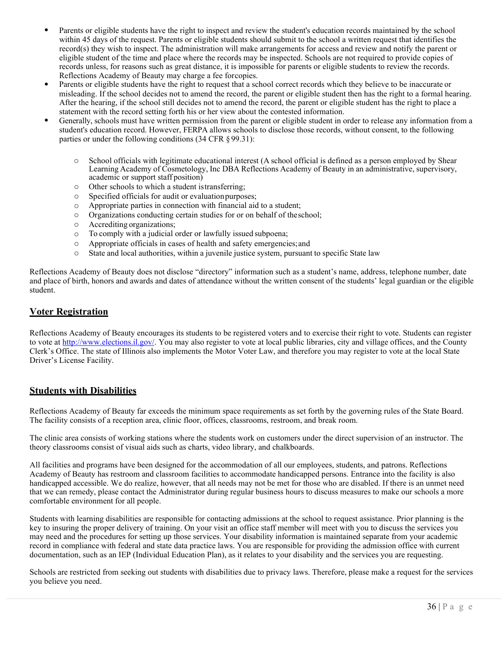- Parents or eligible students have the right to inspect and review the student's education records maintained by the school within 45 days of the request. Parents or eligible students should submit to the school a written request that identifies the record(s) they wish to inspect. The administration will make arrangements for access and review and notify the parent or eligible student of the time and place where the records may be inspected. Schools are not required to provide copies of records unless, for reasons such as great distance, it is impossible for parents or eligible students to review the records.
- Reflections Academy of Beauty may charge a fee forcopies.<br>Parents or eligible students have the right to request that a school correct records which they believe to be inaccurate or misleading. If the school decides not to amend the record, the parent or eligible student then has the right to a formal hearing. After the hearing, if the school still decides not to amend the record, the parent or eligible student has the right to place a statement with the record setting forth his or her view about the contested information.
- Generally, schools must have written permission from the parent or eligible student in order to release any information from a student's education record. However, FERPA allows schools to disclose those records, without consent, to the following parties or under the following conditions (34 CFR § 99.31):
	- o School officials with legitimate educational interest (A school official is defined as a person employed by Shear Learning Academy of Cosmetology, Inc DBA Reflections Academy of Beauty in an administrative, supervisory, academic or support staff position)
	- o Other schools to which a student istransferring;
	- o Specified officials for audit or evaluationpurposes;
	- o Appropriate parties in connection with financial aid to a student;
	- o Organizations conducting certain studies for or on behalf of theschool;
	- $\circ$  Accrediting organizations;<br> $\circ$  To comply with a judicial
	- To comply with a judicial order or lawfully issued subpoena;
	- o Appropriate officials in cases of health and safety emergencies;and
	- o State and local authorities, within a juvenile justice system, pursuant to specific State law

Reflections Academy of Beauty does not disclose "directory" information such as a student's name, address, telephone number, date and place of birth, honors and awards and dates of attendance without the written consent of the students' legal guardian or the eligible student.

# **Voter Registration**

Reflections Academy of Beauty encourages its students to be registered voters and to exercise their right to vote. Students can register to vote a[t http://www.elections.il.gov/. Y](http://www.elections.il.gov/)ou may also register to vote at local public libraries, city and village offices, and the County Clerk's Office. The state of Illinois also implements the Motor Voter Law, and therefore you may register to vote at the local State Driver's License Facility.

# **Students with Disabilities**

Reflections Academy of Beauty far exceeds the minimum space requirements as set forth by the governing rules of the State Board. The facility consists of a reception area, clinic floor, offices, classrooms, restroom, and break room.

The clinic area consists of working stations where the students work on customers under the direct supervision of an instructor. The theory classrooms consist of visual aids such as charts, video library, and chalkboards.

All facilities and programs have been designed for the accommodation of all our employees, students, and patrons. Reflections Academy of Beauty has restroom and classroom facilities to accommodate handicapped persons. Entrance into the facility is also handicapped accessible. We do realize, however, that all needs may not be met for those who are disabled. If there is an unmet need that we can remedy, please contact the Administrator during regular business hours to discuss measures to make our schools a more comfortable environment for all people.

Students with learning disabilities are responsible for contacting admissions at the school to request assistance. Prior planning is the key to insuring the proper delivery of training. On your visit an office staff member will meet with you to discuss the services you may need and the procedures for setting up those services. Your disability information is maintained separate from your academic record in compliance with federal and state data practice laws. You are responsible for providing the admission office with current documentation, such as an IEP (Individual Education Plan), as it relates to your disability and the services you are requesting.

Schools are restricted from seeking out students with disabilities due to privacy laws. Therefore, please make a request for the services you believe you need.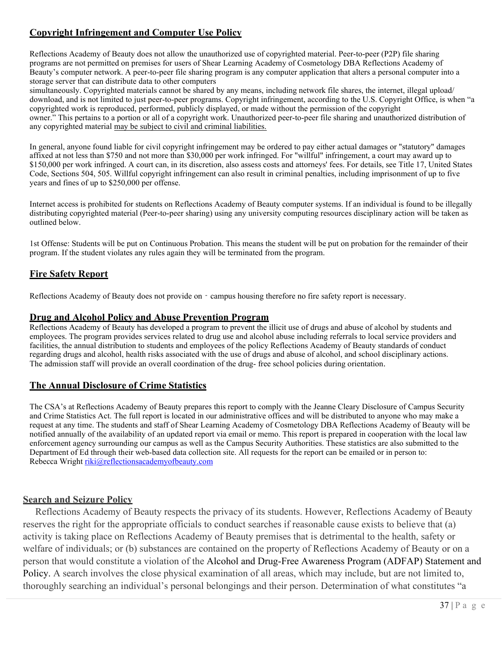# **Copyright Infringement and Computer Use Policy**

Reflections Academy of Beauty does not allow the unauthorized use of copyrighted material. Peer-to-peer (P2P) file sharing programs are not permitted on premises for users of Shear Learning Academy of Cosmetology DBA Reflections Academy of Beauty's computer network. A peer-to-peer file sharing program is any computer application that alters a personal computer into a storage server that can distribute data to other computers

simultaneously. Copyrighted materials cannot be shared by any means, including network file shares, the internet, illegal upload/ download, and is not limited to just peer-to-peer programs. Copyright infringement, according to the U.S. Copyright Office, is when "a copyrighted work is reproduced, performed, publicly displayed, or made without the permission of the copyright owner." This pertains to a portion or all of a copyright work. Unauthorized peer-to-peer file sharing and unauthorized distribution of any copyrighted material may be subject to civil and criminal liabilities.

In general, anyone found liable for civil copyright infringement may be ordered to pay either actual damages or "statutory" damages affixed at not less than \$750 and not more than \$30,000 per work infringed. For "willful" infringement, a court may award up to \$150,000 per work infringed. A court can, in its discretion, also assess costs and attorneys' fees. For details, see Title 17, United States Code, Sections 504, 505. Willful copyright infringement can also result in criminal penalties, including imprisonment of up to five years and fines of up to \$250,000 per offense.

Internet access is prohibited for students on Reflections Academy of Beauty computer systems. If an individual is found to be illegally distributing copyrighted material (Peer-to-peer sharing) using any university computing resources disciplinary action will be taken as outlined below.

1st Offense: Students will be put on Continuous Probation. This means the student will be put on probation for the remainder of their program. If the student violates any rules again they will be terminated from the program.

# **Fire Safety Report**

Reflections Academy of Beauty does not provide on - campus housing therefore no fire safety report is necessary.

## **Drug and Alcohol Policy and Abuse Prevention Program**

Reflections Academy of Beauty has developed a program to prevent the illicit use of drugs and abuse of alcohol by students and employees. The program provides services related to drug use and alcohol abuse including referrals to local service providers and facilities, the annual distribution to students and employees of the policy Reflections Academy of Beauty standards of conduct regarding drugs and alcohol, health risks associated with the use of drugs and abuse of alcohol, and school disciplinary actions. The admission staff will provide an overall coordination of the drug- free school policies during orientation.

# **The Annual Disclosure of Crime Statistics**

The CSA's at Reflections Academy of Beauty prepares this report to comply with the Jeanne Cleary Disclosure of Campus Security and Crime Statistics Act. The full report is located in our administrative offices and will be distributed to anyone who may make a request at any time. The students and staff of Shear Learning Academy of Cosmetology DBA Reflections Academy of Beauty will be notified annually of the availability of an updated report via email or memo. This report is prepared in cooperation with the local law enforcement agency surrounding our campus as well as the Campus Security Authorities. These statistics are also submitted to the Department of Ed through their web-based data collection site. All requests for the report can be emailed or in person to: Rebecca Wright [riki@reflectionsacademyofbeauty.com](mailto:riki@reflectionsacademyofbeauty.com)

# **Search and Seizure Policy**

Reflections Academy of Beauty respects the privacy of its students. However, Reflections Academy of Beauty reserves the right for the appropriate officials to conduct searches if reasonable cause exists to believe that (a) activity is taking place on Reflections Academy of Beauty premises that is detrimental to the health, safety or welfare of individuals; or (b) substances are contained on the property of Reflections Academy of Beauty or on a person that would constitute a violation of the Alcohol and Drug-Free Awareness Program (ADFAP) Statement and Policy. A search involves the close physical examination of all areas, which may include, but are not limited to, thoroughly searching an individual's personal belongings and their person. Determination of what constitutes "a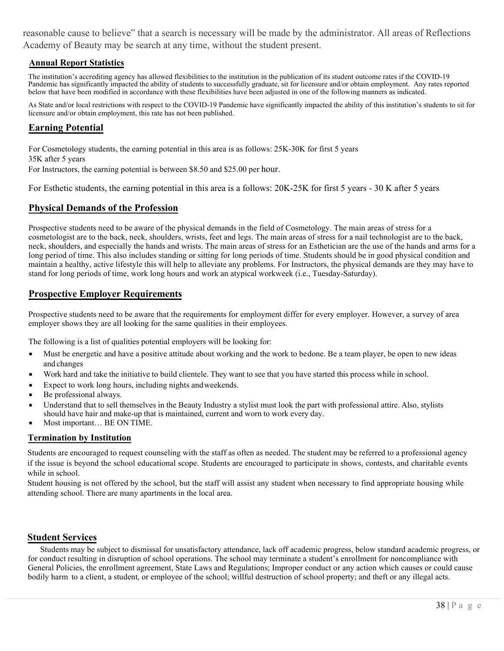reasonable cause to believe" that a search is necessary will be made by the administrator. All areas of Reflections Academy of Beauty may be search at any time, without the student present.

## **Annual Report Statistics**

The institution's accrediting agency has allowed flexibilities to the institution in the publication of its student outcome rates if the COVID-19 Pandemic has significantly impacted the ability of students to successfully graduate, sit for licensure and/or obtain employment. Any rates reported below that have been modified in accordance with these flexibilities have been adjusted in one of the following manners as indicated.

As State and/or local restrictions with respect to the COVID-19 Pandemic have significantly impacted the ability of this institution's students to sit for licensure and/or obtain employment, this rate has not been published.

# **Earning Potential**

For Cosmetology students, the earning potential in this area is as follows: 25K-30K for first 5 years 35K after 5 years

For Instructors, the earning potential is between \$8.50 and \$25.00 per hour.

For Esthetic students, the earning potential in this area is a follows: 20K-25K for first 5 years - 30 K after 5 years

# **Physical Demands of the Profession**

Prospective students need to be aware of the physical demands in the field of Cosmetology. The main areas of stress for a cosmetologist are to the back, neck, shoulders, wrists, feet and legs. The main areas of stress for a nail technologist are to the back, neck, shoulders, and especially the hands and wrists. The main areas of stress for an Esthetician are the use of the hands and arms for a long period of time. This also includes standing or sitting for long periods of time. Students should be in good physical condition and maintain a healthy, active lifestyle this will help to alleviate any problems. For Instructors, the physical demands are they may have to stand for long periods of time, work long hours and work an atypical workweek (i.e., Tuesday-Saturday).

# **Prospective Employer Requirements**

Prospective students need to be aware that the requirements for employment differ for every employer. However, a survey of area employer shows they are all looking for the same qualities in their employees.

The following is a list of qualities potential employers will be looking for:

- Must be energetic and have a positive attitude about working and the work to bedone. Be a team player, be open to new ideas and changes
- Work hard and take the initiative to build clientele. They want to see that you have started this process while in school.
- Expect to work long hours, including nights and weekends.
- Be professional always.
- Understand that to sell themselves in the Beauty Industry a stylist must look the part with professional attire. Also, stylists should have hair and make-up that is maintained, current and worn to work every day.
- Most important… BE ON TIME.

## **Termination by Institution**

Students are encouraged to request counseling with the staff as often as needed. The student may be referred to a professional agency if the issue is beyond the school educational scope. Students are encouraged to participate in shows, contests, and charitable events while in school.

Student housing is not offered by the school, but the staff will assist any student when necessary to find appropriate housing while attending school. There are many apartments in the local area.

## **Student Services**

bodily harm to a client, a student, or employee of the school; willful destruction of school property; and theft or any illegal acts. Students may be subject to dismissal for unsatisfactory attendance, lack off academic progress, below standard academic progress, or for conduct resulting in disruption of school operations. The school may terminate a student's enrollment for noncompliance with General Policies, the enrollment agreement, State Laws and Regulations; Improper conduct or any action which causes or could cause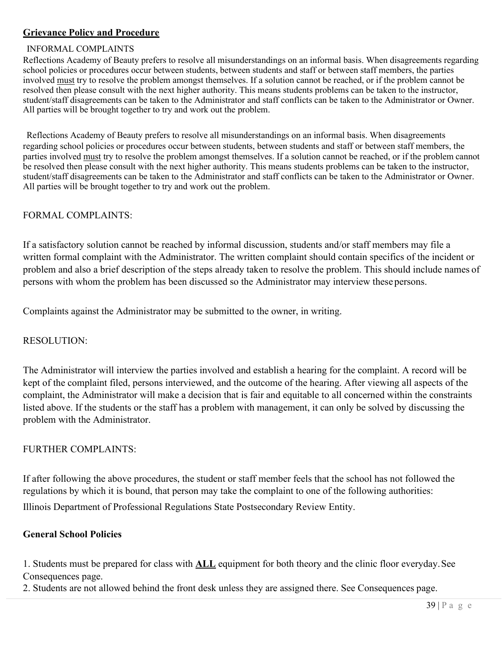# **Grievance Policy and Procedure**

## INFORMAL COMPLAINTS

Reflections Academy of Beauty prefers to resolve all misunderstandings on an informal basis. When disagreements regarding school policies or procedures occur between students, between students and staff or between staff members, the parties involved must try to resolve the problem amongst themselves. If a solution cannot be reached, or if the problem cannot be resolved then please consult with the next higher authority. This means students problems can be taken to the instructor, student/staff disagreements can be taken to the Administrator and staff conflicts can be taken to the Administrator or Owner. All parties will be brought together to try and work out the problem.

Reflections Academy of Beauty prefers to resolve all misunderstandings on an informal basis. When disagreements regarding school policies or procedures occur between students, between students and staff or between staff members, the parties involved must try to resolve the problem amongst themselves. If a solution cannot be reached, or if the problem cannot be resolved then please consult with the next higher authority. This means students problems can be taken to the instructor, student/staff disagreements can be taken to the Administrator and staff conflicts can be taken to the Administrator or Owner. All parties will be brought together to try and work out the problem.

# FORMAL COMPLAINTS:

If a satisfactory solution cannot be reached by informal discussion, students and/or staff members may file a written formal complaint with the Administrator. The written complaint should contain specifics of the incident or problem and also a brief description of the steps already taken to resolve the problem. This should include names of persons with whom the problem has been discussed so the Administrator may interview these persons.

Complaints against the Administrator may be submitted to the owner, in writing.

# RESOLUTION:

The Administrator will interview the parties involved and establish a hearing for the complaint. A record will be kept of the complaint filed, persons interviewed, and the outcome of the hearing. After viewing all aspects of the complaint, the Administrator will make a decision that is fair and equitable to all concerned within the constraints listed above. If the students or the staff has a problem with management, it can only be solved by discussing the problem with the Administrator.

# FURTHER COMPLAINTS:

If after following the above procedures, the student or staff member feels that the school has not followed the regulations by which it is bound, that person may take the complaint to one of the following authorities:

Illinois Department of Professional Regulations State Postsecondary Review Entity.

# **General School Policies**

1. Students must be prepared for class with **ALL** equipment for both theory and the clinic floor everyday. See Consequences page.

2. Students are not allowed behind the front desk unless they are assigned there. See Consequences page.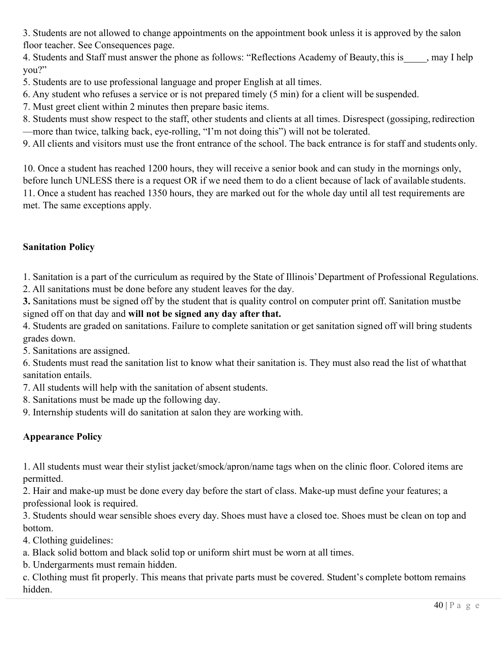3. Students are not allowed to change appointments on the appointment book unless it is approved by the salon floor teacher. See Consequences page.

4. Students and Staff must answer the phone as follows: "Reflections Academy of Beauty, this is \_\_\_\_\_, may I help you?"

5. Students are to use professional language and proper English at all times.

6. Any student who refuses a service or is not prepared timely (5 min) for a client will be suspended.

7. Must greet client within 2 minutes then prepare basic items.

8. Students must show respect to the staff, other students and clients at all times. Disrespect (gossiping, redirection —more than twice, talking back, eye-rolling, "I'm not doing this") will not be tolerated.

9. All clients and visitors must use the front entrance of the school. The back entrance is for staff and students only.

10. Once a student has reached 1200 hours, they will receive a senior book and can study in the mornings only, before lunch UNLESS there is a request OR if we need them to do a client because of lack of available students. 11. Once a student has reached 1350 hours, they are marked out for the whole day until all test requirements are met. The same exceptions apply.

# **Sanitation Policy**

1. Sanitation is a part of the curriculum as required by the State of Illinois' Department of Professional Regulations.

2. All sanitations must be done before any student leaves for the day.

**3.** Sanitations must be signed off by the student that is quality control on computer print off. Sanitation must be signed off on that day and **will not be signed any day after that.**

4. Students are graded on sanitations. Failure to complete sanitation or get sanitation signed off will bring students grades down.

5. Sanitations are assigned.

6. Students must read the sanitation list to know what their sanitation is. They must also read the list of what that sanitation entails.

7. All students will help with the sanitation of absent students.

8. Sanitations must be made up the following day.

9. Internship students will do sanitation at salon they are working with.

# **Appearance Policy**

1. All students must wear their stylist jacket/smock/apron/name tags when on the clinic floor. Colored items are permitted.

2. Hair and make-up must be done every day before the start of class. Make-up must define your features; a professional look is required.

3. Students should wear sensible shoes every day. Shoes must have a closed toe. Shoes must be clean on top and bottom.

4. Clothing guidelines:

a. Black solid bottom and black solid top or uniform shirt must be worn at all times.

b. Undergarments must remain hidden.

c. Clothing must fit properly. This means that private parts must be covered. Student's complete bottom remains hidden.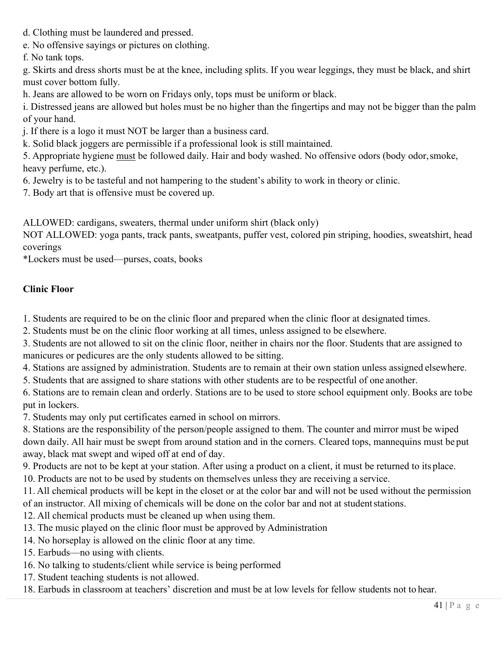- d. Clothing must be laundered and pressed.
- e. No offensive sayings or pictures on clothing.
- f. No tank tops.

g. Skirts and dress shorts must be at the knee, including splits. If you wear leggings, they must be black, and shirt must cover bottom fully.

h. Jeans are allowed to be worn on Fridays only, tops must be uniform or black.

i. Distressed jeans are allowed but holes must be no higher than the fingertips and may not be bigger than the palm of your hand.

j. If there is a logo it must NOT be larger than a business card.

k. Solid black joggers are permissible if a professional look is still maintained.

5. Appropriate hygiene must be followed daily. Hair and body washed. No offensive odors (body odor, smoke, heavy perfume, etc.).

6. Jewelry is to be tasteful and not hampering to the student's ability to work in theory or clinic.

7. Body art that is offensive must be covered up.

ALLOWED: cardigans, sweaters, thermal under uniform shirt (black only)

NOT ALLOWED: yoga pants, track pants, sweatpants, puffer vest, colored pin striping, hoodies, sweatshirt, head coverings

\*Lockers must be used—purses, coats, books

# **Clinic Floor**

1. Students are required to be on the clinic floor and prepared when the clinic floor at designated times.

- 2. Students must be on the clinic floor working at all times, unless assigned to be elsewhere.
- 3. Students are not allowed to sit on the clinic floor, neither in chairs nor the floor. Students that are assigned to manicures or pedicures are the only students allowed to be sitting.
- 4. Stations are assigned by administration. Students are to remain at their own station unless assigned elsewhere.
- 5. Students that are assigned to share stations with other students are to be respectful of one another.

6. Stations are to remain clean and orderly. Stations are to be used to store school equipment only. Books are to be put in lockers.

7. Students may only put certificates earned in school on mirrors.

8. Stations are the responsibility of the person/people assigned to them. The counter and mirror must be wiped down daily. All hair must be swept from around station and in the corners. Cleared tops, mannequins must be put away, black mat swept and wiped off at end of day.

9. Products are not to be kept at your station. After using a product on a client, it must be returned to its place.

10. Products are not to be used by students on themselves unless they are receiving a service.

11. All chemical products will be kept in the closet or at the color bar and will not be used without the permission of an instructor. All mixing of chemicals will be done on the color bar and not at student stations.

12. All chemical products must be cleaned up when using them.

- 13. The music played on the clinic floor must be approved by Administration
- 14. No horseplay is allowed on the clinic floor at any time.
- 15. Earbuds—no using with clients.
- 16. No talking to students/client while service is being performed
- 17. Student teaching students is not allowed.

18. Earbuds in classroom at teachers' discretion and must be at low levels for fellow students not to hear.